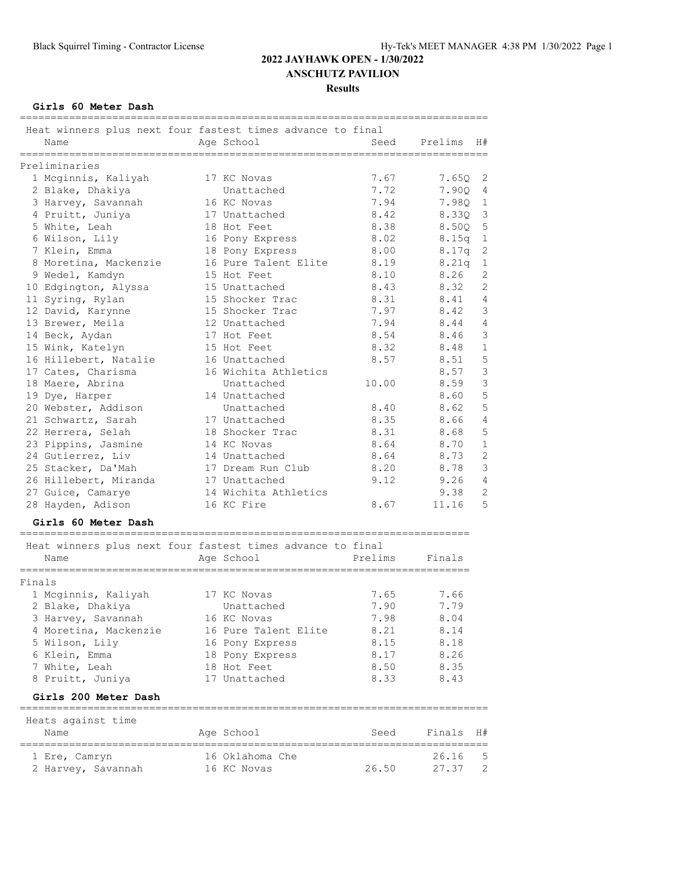**Girls 60 Meter Dash**

| Heat winners plus next four fastest times advance to final |                      |         |         |                |
|------------------------------------------------------------|----------------------|---------|---------|----------------|
| Name                                                       | Age School           | Seed    | Prelims | H#             |
|                                                            |                      |         |         |                |
| Preliminaries                                              |                      |         |         |                |
| 1 Mcginnis, Kaliyah                                        | 17 KC Novas          | 7.67    | 7.65Q   | 2              |
| 2 Blake, Dhakiya                                           | Unattached           | 7.72    | 7.90Q   | 4              |
| 3 Harvey, Savannah                                         | 16 KC Novas          | 7.94    | 7.98Q   | 1              |
| 4 Pruitt, Juniya                                           | 17 Unattached        | 8.42    | 8,330   | 3              |
| 5 White, Leah                                              | 18 Hot Feet          | 8.38    | 8.50Q   | 5              |
| 6 Wilson, Lily                                             | 16 Pony Express      | 8.02    | 8.15q   | $\mathbf{1}$   |
| 7 Klein, Emma                                              | 18 Pony Express      | 8.00    | 8.17q   | $\mathbf{2}$   |
| 8 Moretina, Mackenzie                                      | 16 Pure Talent Elite | 8.19    | 8.21q   | 1              |
| 9 Wedel, Kamdyn                                            | 15 Hot Feet          | 8.10    | 8.26    | 2              |
| 10 Edgington, Alyssa                                       | 15 Unattached        | 8.43    | 8.32    | $\overline{c}$ |
| 11 Syring, Rylan                                           | 15 Shocker Trac      | 8.31    | 8.41    | $\overline{4}$ |
| 12 David, Karynne                                          | 15 Shocker Trac      | 7.97    | 8.42    | 3              |
| 13 Brewer, Meila                                           | 12 Unattached        | 7.94    | 8.44    | $\overline{4}$ |
| 14 Beck, Aydan                                             | 17 Hot Feet          | 8.54    | 8.46    | $\mathcal{S}$  |
| 15 Wink, Katelyn                                           | 15 Hot Feet          | 8.32    | 8.48    | $\mathbf{1}$   |
| 16 Hillebert, Natalie                                      | 16 Unattached        | 8.57    | 8.51    | 5              |
| 17 Cates, Charisma                                         | 16 Wichita Athletics |         | 8.57    | $\mathcal{S}$  |
| 18 Maere, Abrina                                           | Unattached           | 10.00   | 8.59    | $\mathcal{S}$  |
| 19 Dye, Harper                                             | 14 Unattached        |         | 8.60    | 5              |
| 20 Webster, Addison                                        | Unattached           | 8.40    | 8.62    | 5              |
| 21 Schwartz, Sarah                                         | 17 Unattached        | 8.35    | 8.66    | 4              |
| 22 Herrera, Selah                                          | 18 Shocker Trac      | 8.31    | 8.68    | 5              |
|                                                            |                      | 8.64    |         | $\mathbf 1$    |
| 23 Pippins, Jasmine                                        | 14 KC Novas          |         | 8.70    |                |
| 24 Gutierrez, Liv                                          | 14 Unattached        | 8.64    | 8.73    | $\overline{c}$ |
| 25 Stacker, Da'Mah                                         | 17 Dream Run Club    | 8.20    | 8.78    | $\mathcal{S}$  |
| 26 Hillebert, Miranda                                      | 17 Unattached        | 9.12    | 9.26    | 4              |
| 27 Guice, Camarye                                          | 14 Wichita Athletics |         | 9.38    | 2              |
| 28 Hayden, Adison                                          | 16 KC Fire           | 8.67    | 11.16   | 5              |
| Girls 60 Meter Dash                                        |                      |         |         |                |
|                                                            |                      |         |         |                |
| Heat winners plus next four fastest times advance to final |                      |         |         |                |
| Name<br>___________                                        | Age School           | Prelims | Finals  |                |
| Finals                                                     |                      |         |         |                |
| 1 Mcginnis, Kaliyah                                        | 17 KC Novas          | 7.65    | 7.66    |                |
| 2 Blake, Dhakiya                                           | Unattached           | 7.90    | 7.79    |                |
| 3 Harvey, Savannah                                         | 16 KC Novas          | 7.98    | 8.04    |                |
| 4 Moretina, Mackenzie                                      | 16 Pure Talent Elite | 8.21    | 8.14    |                |
| 5 Wilson, Lily                                             | 16 Pony Express      | 8.15    | 8.18    |                |
| 6 Klein, Emma                                              | 18 Pony Express      | 8.17    | 8.26    |                |
| 7 White, Leah                                              | 18 Hot Feet          | 8.50    | 8.35    |                |
| 8 Pruitt, Juniya                                           | 17 Unattached        | 8.33    | 8.43    |                |
|                                                            |                      |         |         |                |
| Girls 200 Meter Dash                                       |                      |         |         |                |
| Heats against time                                         |                      |         |         |                |
| Name                                                       | Age School           | Seed    | Finals  | H#             |
|                                                            | 16 Oklahoma Che      |         | 26.16   | 5              |
| 1 Ere, Camryn<br>2 Harvey, Savannah                        | 16 KC Novas          | 26.50   | 27.37   | 2              |
|                                                            |                      |         |         |                |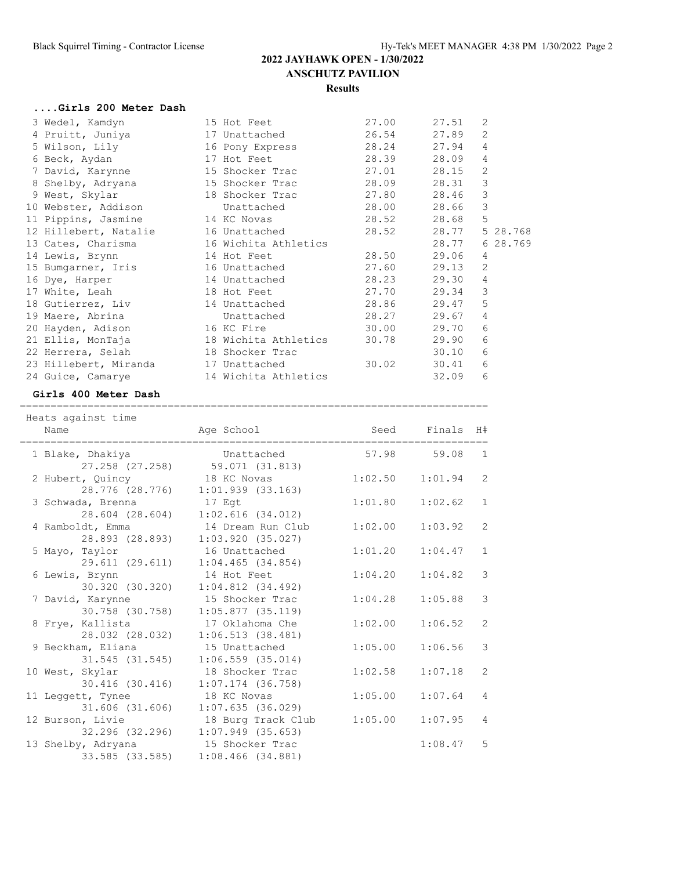#### **....Girls 200 Meter Dash**

| 3 Wedel, Kamdyn                                   | 15 Hot Feet          | 27.00 | 27.51 | $\mathfrak{D}$ |
|---------------------------------------------------|----------------------|-------|-------|----------------|
| 4 Pruitt, Juniya 17 Unattached                    |                      | 26.54 | 27.89 | $\mathfrak{D}$ |
|                                                   |                      | 28.24 | 27.94 | 4              |
|                                                   |                      | 28.39 | 28.09 | 4              |
| 7 David, Karynne                                  | 15 Shocker Trac      | 27.01 | 28.15 | 2              |
| 8 Shelby, Adryana                 15 Shocker Trac |                      | 28.09 | 28.31 | 3              |
|                                                   |                      | 27.80 | 28.46 | 3              |
| 10 Webster, Addison Unattached                    |                      | 28.00 | 28.66 | 3              |
| 11 Pippins, Jasmine 14 KC Novas                   |                      | 28.52 | 28.68 | 5              |
| 12 Hillebert, Natalie 16 Unattached               |                      | 28.52 | 28.77 | 5 28.768       |
| 13 Cates, Charisma                                | 16 Wichita Athletics |       | 28.77 | 6 28.769       |
| 14 Lewis, Brynn                                   | 14 Hot Feet          | 28.50 | 29.06 | 4              |
| 15 Bumgarner, Iris 16 Unattached                  |                      | 27.60 | 29.13 | $\overline{2}$ |
| 16 Dye, Harper 14 Unattached                      |                      | 28.23 | 29.30 | 4              |
| 17 White, Leah 18 Hot Feet                        |                      | 27.70 | 29.34 | 3              |
| 18 Gutierrez, Liv 14 Unattached                   |                      | 28.86 | 29.47 | 5              |
| 19 Maere, Abrina                                  | Unattached           | 28.27 | 29.67 | 4              |
| 20 Hayden, Adison                                 | 16 KC Fire           | 30.00 | 29.70 | 6              |
| 21 Ellis, MonTaja                                 | 18 Wichita Athletics | 30.78 | 29.90 | 6              |
| 22 Herrera, Selah 18 Shocker Trac                 |                      |       | 30.10 | 6              |
| 23 Hillebert, Miranda 17 Unattached               |                      | 30.02 | 30.41 | 6              |
| 24 Guice, Camarye                                 | 14 Wichita Athletics |       | 32.09 | 6              |

#### **Girls 400 Meter Dash**

| Heats against time<br>Name<br>_____________________________ | Age School                                       | Seed Finals H# |             |                |
|-------------------------------------------------------------|--------------------------------------------------|----------------|-------------|----------------|
| 1 Blake, Dhakiya                                            | Unattached<br>27.258 (27.258) 59.071 (31.813)    |                | 57.98 59.08 | $\overline{1}$ |
| 2 Hubert, Quincy                                            | 18 KC Novas<br>28.776 (28.776) 1:01.939 (33.163) | 1:02.50        | 1:01.94     | $\overline{c}$ |
| 3 Schwada, Brenna<br>28.604 (28.604)                        | 17 Eqt<br>1:02.616(34.012)                       | 1:01.80        | 1:02.62     | $\mathbf{1}$   |
| 4 Ramboldt, Emma<br>28.893 (28.893)                         | 14 Dream Run Club<br>1:03.920(35.027)            | 1:02.00        | 1:03.92     | $\mathbf{2}$   |
| 5 Mayo, Taylor<br>29.611 (29.611)                           | 16 Unattached<br>1:04.465(34.854)                | 1:01.20        | 1:04.47     | $\mathbf{1}$   |
| 6 Lewis, Brynn<br>30.320 (30.320) 1:04.812 (34.492)         | 14 Hot Feet                                      | 1:04.20        | 1:04.82     | $\mathcal{S}$  |
| 7 David, Karynne<br>30.758 (30.758)                         | 15 Shocker Trac<br>$1:05.877$ (35.119)           | 1:04.28        | 1:05.88     | $\mathfrak{Z}$ |
| 8 Frye, Kallista<br>28.032 (28.032)                         | 17 Oklahoma Che<br>1:06.513(38.481)              | 1:02.00        | 1:06.52     | 2              |
| 9 Beckham, Eliana<br>31.545 (31.545)                        | 15 Unattached<br>$1:06.559$ $(35.014)$           | 1:05.00        | 1:06.56     | 3              |
| 10 West, Skylar<br>30.416 (30.416)                          | 18 Shocker Trac<br>$1:07.174$ (36.758)           | 1:02.58        | 1:07.18     | 2              |
| 11 Leggett, Tynee<br>31.606 (31.606)                        | 18 KC Novas<br>1:07.635(36.029)                  | 1:05.00        | 1:07.64     | $\overline{4}$ |
| 12 Burson, Livie<br>32.296 (32.296)                         | 18 Burg Track Club<br>$1:07.949$ (35.653)        | 1:05.00        | 1:07.95     | 4              |
| 13 Shelby, Adryana<br>33.585 (33.585) 1:08.466 (34.881)     | 15 Shocker Trac                                  |                | 1:08.47     | 5              |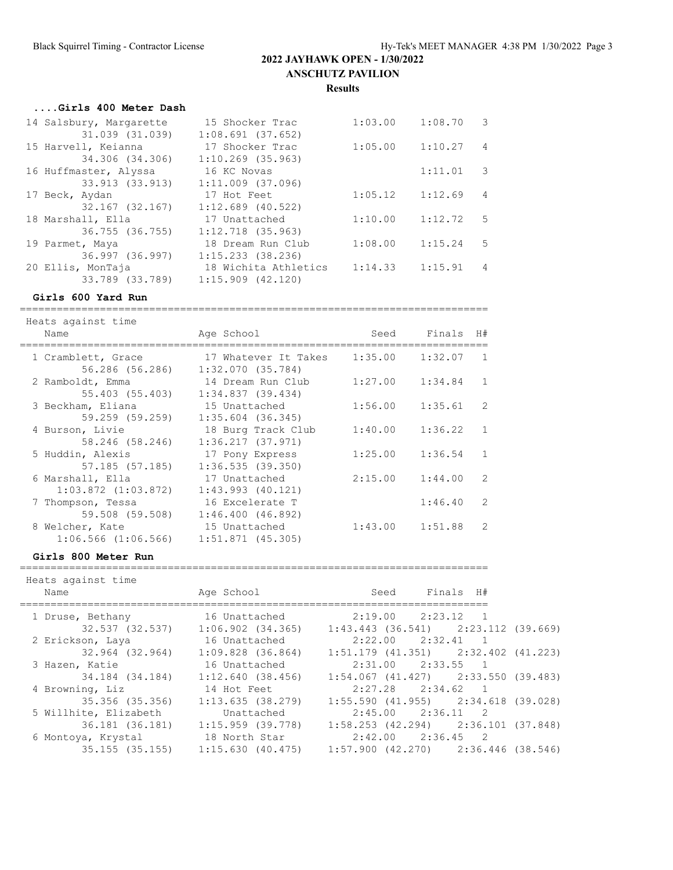#### **....Girls 400 Meter Dash**

| 14 Salsbury, Margarette | 15 Shocker Trac       | 1:03.00 | 1:08.70 | $\mathcal{B}$ |
|-------------------------|-----------------------|---------|---------|---------------|
| 31.039 (31.039)         | $1:08.691$ (37.652)   |         |         |               |
| 15 Harvell, Keianna     | 17 Shocker Trac       | 1:05.00 | 1:10.27 | 4             |
| 34.306 (34.306)         | $1:10.269$ (35.963)   |         |         |               |
| 16 Huffmaster, Alyssa   | 16 KC Novas           |         | 1:11.01 | 3             |
| 33.913 (33.913)         | $1:11.009$ (37.096)   |         |         |               |
| 17 Beck, Aydan          | 17 Hot Feet           | 1:05.12 | 1:12.69 | 4             |
| 32.167 (32.167)         | $1:12.689$ (40.522)   |         |         |               |
| 18 Marshall, Ella       | 17 Unattached         | 1:10.00 | 1:12.72 | -5            |
| 36.755 (36.755)         | $1:12.718$ (35.963)   |         |         |               |
| 19 Parmet, Maya         | 18 Dream Run Club     | 1:08.00 | 1:15.24 | .5            |
| 36.997 (36.997)         | 1:15.233(38.236)      |         |         |               |
| 20 Ellis, MonTaja       | 18 Wichita Athletics  | 1:14.33 | 1:15.91 | 4             |
| 33.789 (33.789)         | $1:15.909$ $(42.120)$ |         |         |               |

============================================================================

#### **Girls 600 Yard Run**

 Heats against time Name and Age School Seed Finals H# ============================================================================ 1 Cramblett, Grace 17 Whatever It Takes 1:35.00 1:32.07 1 56.286 (56.286) 1:32.070 (35.784) 2 Ramboldt, Emma 14 Dream Run Club 1:27.00 1:34.84 1 55.403 (55.403) 1:34.837 (39.434) 3 Beckham, Eliana 15 Unattached 1:56.00 1:35.61 2 59.259 (59.259) 1:35.604 (36.345) 4 Burson, Livie 18 Burg Track Club 1:40.00 1:36.22 1 58.246 (58.246) 1:36.217 (37.971) 5 Huddin, Alexis 17 Pony Express 1:25.00 1:36.54 1 57.185 (57.185) 1:36.535 (39.350) 6 Marshall, Ella 17 Unattached 2:15.00 1:44.00 2 1:03.872 (1:03.872) 1:43.993 (40.121) 7 Thompson, Tessa 16 Excelerate T 1:46.40 2 59.508 (59.508) 1:46.400 (46.892) 8 Welcher, Kate 15 Unattached 1:43.00 1:51.88 2 1:06.566 (1:06.566) 1:51.871 (45.305)

#### **Girls 800 Meter Run**

Heats against time

| Name                  | Age School            | Finals H#<br>Seed                       |  |
|-----------------------|-----------------------|-----------------------------------------|--|
| 1 Druse, Bethany      | 16 Unattached         | 2:19.00 2:23.12 1                       |  |
| 32.537 (32.537)       | $1:06.902$ $(34.365)$ | $1:43.443$ (36.541) $2:23.112$ (39.669) |  |
| 2 Erickson, Laya      | 16 Unattached         | $2:22.00$ $2:32.41$ 1                   |  |
| 32.964 (32.964)       | $1:09.828$ $(36.864)$ | $1:51.179$ (41.351) $2:32.402$ (41.223) |  |
| 3 Hazen, Katie        | 16 Unattached         | $2:31.00$ $2:33.55$ 1                   |  |
| 34.184 (34.184)       | 1:12.640(38.456)      | $1:54.067$ (41.427) 2:33.550 (39.483)   |  |
| 4 Browning, Liz       | 14 Hot Feet           | 2:27.28 2:34.62 1                       |  |
| 35.356 (35.356)       | 1:13.635(38.279)      | $1:55.590$ (41.955) $2:34.618$ (39.028) |  |
| 5 Willhite, Elizabeth | Unattached            | $2:45.00$ $2:36.11$ 2                   |  |
| 36.181 (36.181)       | $1:15.959$ (39.778)   | $1:58.253$ (42.294) $2:36.101$ (37.848) |  |
| 6 Montoya, Krystal    | 18 North Star         | $2:42.00$ $2:36.45$ 2                   |  |
| $35.155$ $(35.155)$   | 1:15.630(40.475)      | $1:57.900$ (42.270) 2:36.446 (38.546)   |  |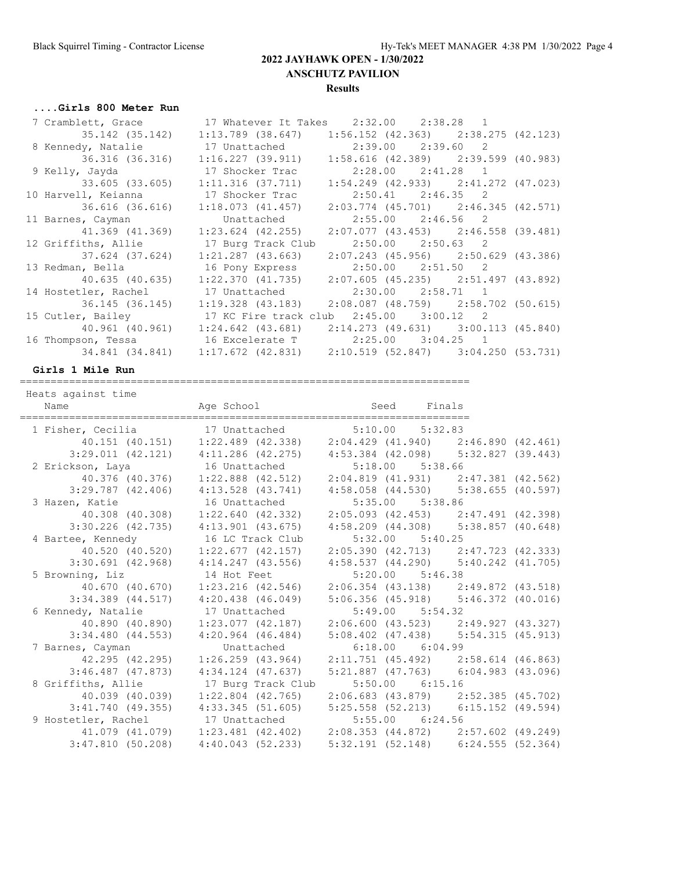# **....Girls 800 Meter Run**

| 7 Cramblett, Grace                                                            | 17 Whatever It Takes 2:32.00 2:38.28 1                                |                                         |  |
|-------------------------------------------------------------------------------|-----------------------------------------------------------------------|-----------------------------------------|--|
|                                                                               | 35.142 (35.142) 1:13.789 (38.647)                                     | $1:56.152$ (42.363) 2:38.275 (42.123)   |  |
| 8 Kennedy, Natalie 17 Unattached                                              |                                                                       | $2:39.00$ $2:39.60$ 2                   |  |
| 36.316 (36.316) 1:16.227 (39.911)                                             |                                                                       | $1:58.616$ (42.389) $2:39.599$ (40.983) |  |
| 9 Kelly, Jayda                 17 Shocker Trac                                |                                                                       | $2:28.00$ $2:41.28$ 1                   |  |
| 33.605 (33.605)                                                               | $1:11.316$ (37.711)                                                   | $1:54.249$ (42.933) $2:41.272$ (47.023) |  |
| 10 Harvell, Keianna                                                           | 17 Shocker Trac                                                       | $2:50.41$ $2:46.35$ 2                   |  |
| 36.616 (36.616)                                                               | $1:18.073$ $(41.457)$                                                 | $2:03.774$ (45.701) $2:46.345$ (42.571) |  |
| 11 Barnes, Cayman Computer Unattached                                         |                                                                       | $2:55.00$ $2:46.56$ 2                   |  |
| 41.369 (41.369)                                                               | 1:23.624 (42.255)                                                     | $2:07.077$ (43.453) $2:46.558$ (39.481) |  |
| 12 Griffiths, Allie                                                           | 17 Burg Track Club                                                    | $2:50.00$ $2:50.63$ 2                   |  |
| 37.624 (37.624)                                                               | 1:21.287 (43.663)                                                     | $2:07.243$ (45.956) $2:50.629$ (43.386) |  |
| 13 Redman, Bella                                                              | 16 Pony Express                                                       | $2:50.00$ $2:51.50$ 2                   |  |
| 40.635 (40.635)                                                               | $1:22.370$ $(41.735)$                                                 | $2:07.605$ (45.235) $2:51.497$ (43.892) |  |
| 14 Hostetler, Rachel 17 Unattached                                            |                                                                       | $2:30.00$ $2:58.71$ 1                   |  |
| 36.145 (36.145)                                                               | 1:19.328 (43.183)                                                     | 2:08.087 (48.759) 2:58.702 (50.615)     |  |
| 15 Cutler, Bailey                                                             | 17 KC Fire track club  2:45.00  3:00.12  2                            |                                         |  |
| $40.961$ (40.961) $1:24.642$ (43.681) $2:14.273$ (49.631) $3:00.113$ (45.840) |                                                                       |                                         |  |
| 16 Thompson, Tessa 16 Excelerate T                                            |                                                                       | $2:25.00$ $3:04.25$ 1                   |  |
|                                                                               | 34.841 (34.841) 1:17.672 (42.831) 2:10.519 (52.847) 3:04.250 (53.731) |                                         |  |
|                                                                               |                                                                       |                                         |  |

=========================================================================

## **Girls 1 Mile Run**

| Heats against time<br>Name                      |                                                                                 |                                             |  |
|-------------------------------------------------|---------------------------------------------------------------------------------|---------------------------------------------|--|
|                                                 | Age School and Seed Finals                                                      |                                             |  |
| 1 Fisher, Cecilia 17 Unattached 5:10.00 5:32.83 |                                                                                 |                                             |  |
|                                                 | 40.151 (40.151) 1:22.489 (42.338) 2:04.429 (41.940) 2:46.890 (42.461)           |                                             |  |
|                                                 | $3:29.011$ (42.121) $4:11.286$ (42.275) $4:53.384$ (42.098) $5:32.827$ (39.443) |                                             |  |
| 2 Erickson, Laya                                | 16 Unattached                                                                   | $5:18.00$ $5:38.66$                         |  |
|                                                 | 40.376 (40.376) 1:22.888 (42.512)                                               | 2:04.819 (41.931) 2:47.381 (42.562)         |  |
|                                                 | $3:29.787$ (42.406) $4:13.528$ (43.741)                                         | 4:58.058 (44.530) 5:38.655 (40.597)         |  |
| 3 Hazen, Katie 16 Unattached                    |                                                                                 | $5:35.00$ $5:38.86$                         |  |
|                                                 | 40.308 (40.308) 1:22.640 (42.332) 2:05.093 (42.453) 2:47.491 (42.398)           |                                             |  |
| $3:30.226$ (42.735)                             | 4:13.901 (43.675)                                                               | $4:58.209$ $(44.308)$ $5:38.857$ $(40.648)$ |  |
| 4 Bartee, Kennedy                               | 16 LC Track Club                                                                | $5:32.00$ $5:40.25$                         |  |
|                                                 | 40.520 (40.520) 1:22.677 (42.157) 2:05.390 (42.713) 2:47.723 (42.333)           |                                             |  |
|                                                 | 3:30.691 (42.968) 4:14.247 (43.556) 4:58.537 (44.290) 5:40.242 (41.705)         |                                             |  |
| 5 Browning, Liz 14 Hot Feet                     |                                                                                 | $5:20.00$ $5:46.38$                         |  |
| 40.670 (40.670)                                 | $1:23.216$ (42.546)                                                             | 2:06.354 (43.138) 2:49.872 (43.518)         |  |
|                                                 | $3:34.389$ $(44.517)$ $4:20.438$ $(46.049)$                                     | $5:06.356$ (45.918) $5:46.372$ (40.016)     |  |
| 6 Kennedy, Natalie                              | 17 Unattached                                                                   | $5:49.00$ $5:54.32$                         |  |
| 40.890 (40.890)                                 | $1:23.077$ (42.187)                                                             | 2:06.600 (43.523) 2:49.927 (43.327)         |  |
|                                                 | $3:34.480$ (44.553) $4:20.964$ (46.484)                                         | 5:08.402 (47.438) 5:54.315 (45.913)         |  |
| 7 Barnes, Cayman                                | Unattached                                                                      | $6:18.00$ $6:04.99$                         |  |
| 42.295 (42.295)                                 | $1:26.259$ $(43.964)$                                                           | $2:11.751$ (45.492) $2:58.614$ (46.863)     |  |
| $3:46.487$ (47.873)                             | $4:34.124$ $(47.637)$                                                           | $5:21.887$ (47.763) 6:04.983 (43.096)       |  |
| 8 Griffiths, Allie                              | 17 Burg Track Club                                                              | $5:50.00$ $6:15.16$                         |  |
|                                                 | 40.039 (40.039) 1:22.804 (42.765)                                               | 2:06.683 (43.879) 2:52.385 (45.702)         |  |
|                                                 | $3:41.740$ (49.355) $4:33.345$ (51.605)                                         | $5:25.558$ (52.213) 6:15.152 (49.594)       |  |
| 9 Hostetler, Rachel 17 Unattached               |                                                                                 | $5:55.00$ $6:24.56$                         |  |
|                                                 | 41.079 (41.079) 1:23.481 (42.402) 2:08.353 (44.872) 2:57.602 (49.249)           |                                             |  |
|                                                 | $3:47.810$ (50.208) $4:40.043$ (52.233)                                         | $5:32.191$ (52.148) $6:24.555$ (52.364)     |  |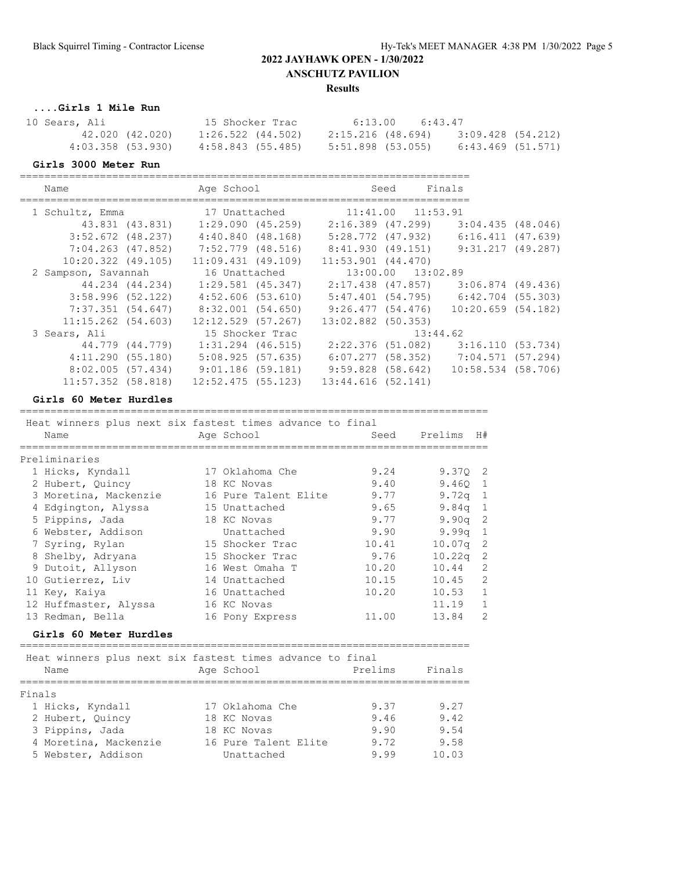**Results**

# **....Girls 1 Mile Run**

| 10 Sears, Ali |                   |                   | 15 Shocker Trac |  | 6:13.00           | 6:43.47 |                   |
|---------------|-------------------|-------------------|-----------------|--|-------------------|---------|-------------------|
|               | 42.020 (42.020)   | 1:26.522 (44.502) |                 |  | 2:15.216 (48.694) |         | 3:09.428 (54.212) |
|               | 4:03.358 (53.930) | 4:58.843 (55.485) |                 |  | 5:51.898 (53.055) |         | 6:43.469 (51.571) |

#### **Girls 3000 Meter Run**

| Name                   |                 | Age School           |                        | Seed                  | Finals                                 |  |
|------------------------|-----------------|----------------------|------------------------|-----------------------|----------------------------------------|--|
| 1 Schultz, Emma        |                 | 17 Unattached        |                        | $11:41.00$ $11:53.91$ |                                        |  |
|                        | 43.831 (43.831) | 1:29.090(45.259)     | 2:16.389 (47.299)      |                       | 3:04.435(48.046)                       |  |
| $3:52.672$ (48.237)    |                 | 4:40.840 (48.168)    | 5:28.772 (47.932)      |                       | 6:16.411 (47.639)                      |  |
| $7:04.263$ (47.852)    |                 | 7:52.779 (48.516)    | 8:41.930 (49.151)      |                       | 9:31.217 (49.287)                      |  |
| $10:20.322$ (49.105)   |                 | $11:09.431$ (49.109) | $11:53.901$ $(44.470)$ |                       |                                        |  |
| 2 Sampson, Savannah    |                 | 16 Unattached        |                        | 13:00.00 13:02.89     |                                        |  |
|                        | 44.234 (44.234) | 1:29.581 (45.347)    | 2:17.438 (47.857)      |                       | 3:06.874 (49.436)                      |  |
| 3:58.996(52.122)       |                 | 4:52.606 (53.610)    |                        |                       | 5:47.401 (54.795) 6:42.704 (55.303)    |  |
| 7:37.351(54.647)       |                 | 8:32.001 (54.650)    |                        |                       | $9:26.477$ (54.476) 10:20.659 (54.182) |  |
| $11:15.262$ $(54.603)$ |                 | $12:12.529$ (57.267) | $13:02.882$ (50.353)   |                       |                                        |  |
| 3 Sears, Ali           |                 | 15 Shocker Trac      |                        |                       | 13:44.62                               |  |
|                        | 44.779 (44.779) | $1:31.294$ (46.515)  | 2:22.376 (51.082)      |                       | 3:16.110(53.734)                       |  |
| 4:11.290(55.180)       |                 | 5:08.925(57.635)     |                        |                       | $6:07.277$ (58.352) 7:04.571 (57.294)  |  |
| 8:02.005(57.434)       |                 | $9:01.186$ (59.181)  | 9:59.828 (58.642)      |                       | 10:58.534 (58.706)                     |  |
| $11:57.352$ (58.818)   |                 | $12:52.475$ (55.123) | 13:44.616(52.141)      |                       |                                        |  |

#### **Girls 60 Meter Hurdles**

============================================================================

| Heat winners plus next six fastest times advance to final |                      |       |            |                |
|-----------------------------------------------------------|----------------------|-------|------------|----------------|
| Name                                                      | Age School           | Seed  | Prelims H# |                |
|                                                           |                      |       |            |                |
| Preliminaries                                             |                      |       |            |                |
| 1 Hicks, Kyndall                                          | 17 Oklahoma Che      | 9.24  | 9.3702     |                |
| 2 Hubert, Quincy                                          | 18 KC Novas          | 9.40  | 9.460 1    |                |
| 3 Moretina, Mackenzie                                     | 16 Pure Talent Elite | 9.77  | $9.72q$ 1  |                |
| 4 Edgington, Alyssa                                       | 15 Unattached        | 9.65  | $9.84q$ 1  |                |
| 5 Pippins, Jada                                           | 18 KC Novas          | 9.77  | $9.90q$ 2  |                |
| 6 Webster, Addison                                        | Unattached           | 9.90  | 9.99q 1    |                |
| 7 Syring, Rylan                                           | 15 Shocker Trac      | 10.41 | $10.07q$ 2 |                |
| 8 Shelby, Adryana                                         | 15 Shocker Trac      | 9.76  | $10.22q$ 2 |                |
| 9 Dutoit, Allyson                                         | 16 West Omaha T      | 10.20 | 10.44      | $\overline{c}$ |
| 10 Gutierrez, Liv                                         | 14 Unattached        | 10.15 | 10.45      | 2              |
| 11 Key, Kaiya                                             | 16 Unattached        | 10.20 | 10.53      | $\mathbf{1}$   |
| 12 Huffmaster, Alyssa                                     | 16 KC Novas          |       | 11.19      | $\mathbf{1}$   |
| 13 Redman, Bella                                          | 16 Pony Express      | 11.00 | 13.84      | $\overline{2}$ |
|                                                           |                      |       |            |                |

#### **Girls 60 Meter Hurdles**

| Name                  | Heat winners plus next six fastest times advance to final<br>Age School | Prelims | Finals |
|-----------------------|-------------------------------------------------------------------------|---------|--------|
| Finals                |                                                                         |         |        |
| 1 Hicks, Kyndall      | 17 Oklahoma Che                                                         | 9.37    | 9.27   |
| 2 Hubert, Quincy      | 18 KC Novas                                                             | 9.46    | 9.42   |
| 3 Pippins, Jada       | 18 KC Novas                                                             | 9.90    | 9.54   |
| 4 Moretina, Mackenzie | 16 Pure Talent Elite                                                    | 9.72    | 9.58   |
| 5 Webster, Addison    | Unattached                                                              | 999     | 10.03  |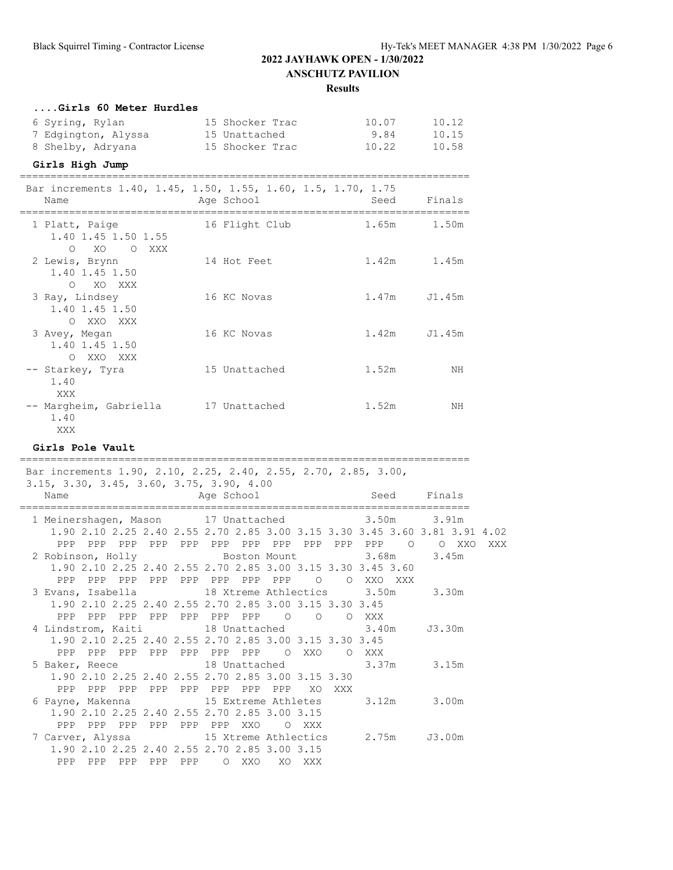#### **....Girls 60 Meter Hurdles**

| 6 Syring, Rylan     | 15 Shocker Trac | 10.07 | 10.12 |
|---------------------|-----------------|-------|-------|
| 7 Edgington, Alyssa | 15 Unattached   | 9.84  | 10.15 |
| 8 Shelby, Adryana   | 15 Shocker Trac | 10.22 | 10.58 |

#### **Girls High Jump**

========================================================================= Bar increments 1.40, 1.45, 1.50, 1.55, 1.60, 1.5, 1.70, 1.75

| DAL INCLEMENTS I.HV, I.HV, I.JV, I.JV, I.OV, I.J, I.J, I. $\sqrt{2}$<br>Name | Age School     | Seed  | Finals |
|------------------------------------------------------------------------------|----------------|-------|--------|
| 1 Platt, Paige<br>1.40 1.45 1.50 1.55<br>XO<br>O XXX<br>$\Omega$             | 16 Flight Club | 1.65m | 1.50m  |
| 2 Lewis, Brynn<br>1.40 1.45 1.50<br>O XO XXX                                 | 14 Hot Feet    | 1.42m | 1.45m  |
| 3 Ray, Lindsey<br>1.40 1.45 1.50<br>O XXO XXX                                | 16 KC Novas    | 1.47m | J1.45m |
| 3 Avey, Megan<br>1.40 1.45 1.50<br>O XXO XXX                                 | 16 KC Novas    | 1.42m | J1.45m |
| -- Starkey, Tyra<br>1.40<br>XXX                                              | 15 Unattached  | 1.52m | ΝH     |
| -- Margheim, Gabriella<br>1.40<br>XXX                                        | 17 Unattached  | 1.52m | NH     |

# **Girls Pole Vault**

========================================================================= Bar increments 1.90, 2.10, 2.25, 2.40, 2.55, 2.70, 2.85, 3.00, 3.15, 3.30, 3.45, 3.60, 3.75, 3.90, 4.00 Name **Age School** Seed Finals ========================================================================= 1 Meinershagen, Mason 17 Unattached 3.50m 3.91m 1.90 2.10 2.25 2.40 2.55 2.70 2.85 3.00 3.15 3.30 3.45 3.60 3.81 3.91 4.02 PPP PPP PPP PPP PPP PPP PPP PPP PPP PPP PPP O O XXO XXX 2 Robinson, Holly Boston Mount 3.68m 3.45m 1.90 2.10 2.25 2.40 2.55 2.70 2.85 3.00 3.15 3.30 3.45 3.60 PPP PPP PPP PPP PPP PPP PPP PPP O O XXO XXX 3 Evans, Isabella 18 Xtreme Athlectics 3.50m 3.30m 1.90 2.10 2.25 2.40 2.55 2.70 2.85 3.00 3.15 3.30 3.45 PPP PPP PPP PPP PPP PPP PPP O O O XXX 4 Lindstrom, Kaiti 18 Unattached 3.40m J3.30m 1.90 2.10 2.25 2.40 2.55 2.70 2.85 3.00 3.15 3.30 3.45 PPP PPP PPP PPP PPP PPP PPP O XXO O XXX<br>5 Baker, Reece 18 Unattached 3.37m 18 Unattached 3.37m 3.15m 1.90 2.10 2.25 2.40 2.55 2.70 2.85 3.00 3.15 3.30 PPP PPP PPP PPP PPP PPP PPP PPP XO XXX<br>ayne, Makenna 15 Extreme Athletes 3.12m 3.00m 6 Payne, Makenna 15 Extreme Athletes 1.90 2.10 2.25 2.40 2.55 2.70 2.85 3.00 3.15 PPP PPP PPP PPP PPP PPP XXO O XXX 7 Carver, Alyssa 15 Xtreme Athlectics 2.75m J3.00m 1.90 2.10 2.25 2.40 2.55 2.70 2.85 3.00 3.15 PPP PPP PPP PPP PPP O XXO XO XXX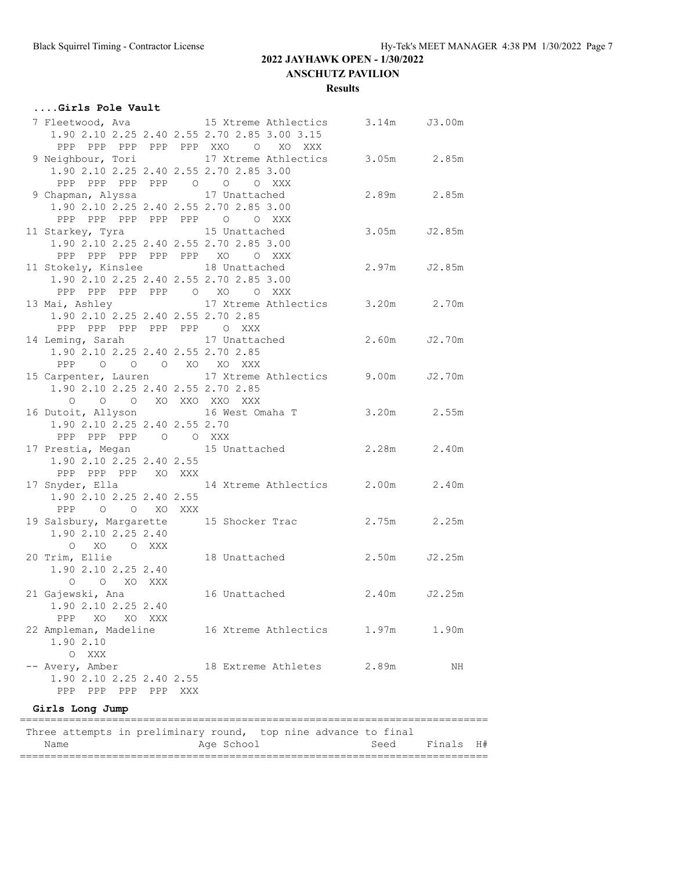# **....Girls Pole Vault**

|                                                                                                            | 7 Fleetwood, Ava 15 Xtreme Athlectics<br>1.90 2.10 2.25 2.40 2.55 2.70 2.85 3.00 3.15<br>PPP PPP PPP PPP PPP XXO O XO XXX | 3.14m J3.00m |       |
|------------------------------------------------------------------------------------------------------------|---------------------------------------------------------------------------------------------------------------------------|--------------|-------|
| 1.90 2.10 2.25 2.40 2.55 2.70 2.85 3.00<br>PPP PPP PPP PPP 0 0 0 XXX                                       | 9 Neighbour, Tori 17 Xtreme Athlectics 3.05m 2.85m                                                                        |              |       |
| 9 Chapman, Alyssa 17 Unattached<br>1.90 2.10 2.25 2.40 2.55 2.70 2.85 3.00<br>PPP PPP PPP PPP PPP 0 0 XXX  |                                                                                                                           | 2.89m 2.85m  |       |
| 11 Starkey, Tyra 15 Unattached<br>1.90 2.10 2.25 2.40 2.55 2.70 2.85 3.00<br>PPP PPP PPP PPP PPP XO O XXX  |                                                                                                                           | 3.05m J2.85m |       |
| 11 Stokely, Kinslee 18 Unattached<br>1.90 2.10 2.25 2.40 2.55 2.70 2.85 3.00<br>PPP PPP PPP PPP 0 XO 0 XXX |                                                                                                                           | 2.97m J2.85m |       |
| 13 Mai, Ashley<br>1.90 2.10 2.25 2.40 2.55 2.70 2.85<br>PPP PPP PPP PPP PPP O XXX                          | 17 Xtreme Athlectics 3.20m 2.70m                                                                                          |              |       |
| 1.90 2.10 2.25 2.40 2.55 2.70 2.85<br>PPP 0 0 0 XO XO XXX                                                  | 14 Leming, Sarah 17 Unattached                                                                                            | 2.60m J2.70m |       |
| 1.90 2.10 2.25 2.40 2.55 2.70 2.85<br>0 0 0 XO XXO XXO XXX                                                 | 15 Carpenter, Lauren 17 Xtreme Athlectics 9.00m J2.70m                                                                    |              |       |
| 1.90 2.10 2.25 2.40 2.55 2.70<br>PPP PPP PPP 0 0 XXX                                                       | 16 Dutoit, Allyson 16 West Omaha T 3.20m 2.55m                                                                            |              |       |
| 17 Prestia, Megan<br>1.90 2.10 2.25 2.40 2.55<br>PPP PPP PPP XO XXX                                        | 15 Unattached 2.28m 2.40m                                                                                                 |              |       |
| 1.90 2.10 2.25 2.40 2.55<br>PPP 0 0 XO XXX                                                                 |                                                                                                                           |              | 2.40m |
| 1.90 2.10 2.25 2.40<br>O XO O XXX                                                                          | 19 Salsbury, Margarette 15 Shocker Trac 2.75m 2.25m                                                                       |              |       |
| 20 Trim, Ellie<br>1.90 2.10 2.25 2.40<br>O O XO XXX                                                        | 18 Unattached 2.50m J2.25m                                                                                                |              |       |
| 21 Gajewski, Ana<br>1.90 2.10 2.25 2.40<br>PPP XO XO XXX                                                   | 16 Unattached 2.40m J2.25m                                                                                                |              |       |
| 22 Ampleman, Madeline<br>1.90 2.10<br>O XXX                                                                | 16 Xtreme Athlectics 1.97m                                                                                                |              | 1.90m |
| -- Avery, Amber<br>1.90 2.10 2.25 2.40 2.55<br>PPP PPP PPP PPP XXX                                         | 18 Extreme Athletes 2.89m                                                                                                 |              | ΝH    |
| Girls Long Jump                                                                                            |                                                                                                                           |              |       |
|                                                                                                            | Three attempts in preliminary round, top nine advance to final                                                            |              |       |

| Name | Age School                                                      | Seed Finals H# |  |
|------|-----------------------------------------------------------------|----------------|--|
|      | THILES ACCEMBLS IN PISTIMINALY LOUNG, COP NINS AUVANCE CO LINAL |                |  |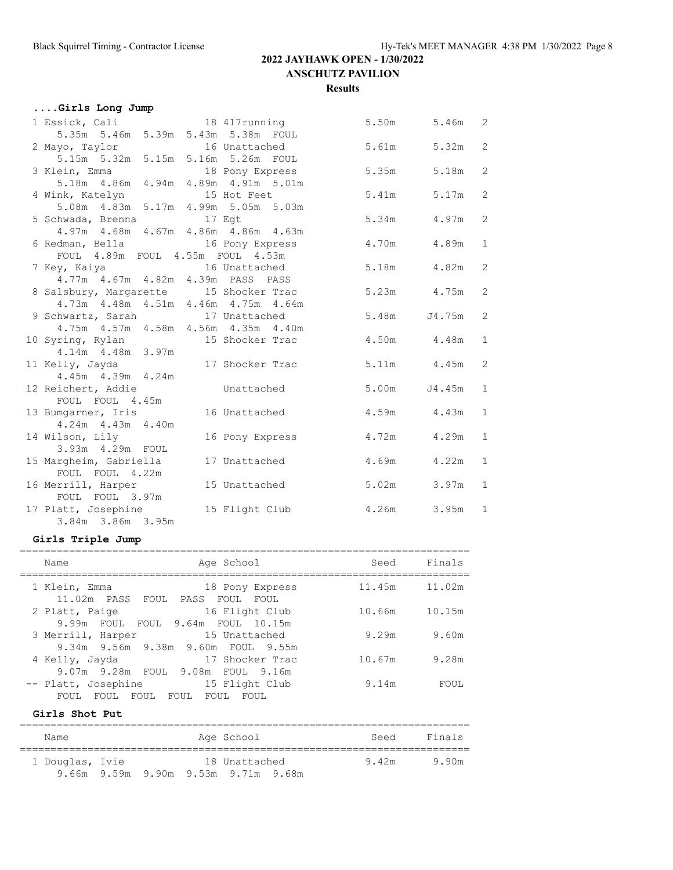# **....Girls Long Jump**

| 1 Essick, Cali and 18 417 running                                    |                                      | 5.50m         | 5.46m           | $\overline{2}$ |
|----------------------------------------------------------------------|--------------------------------------|---------------|-----------------|----------------|
| 5.35m 5.46m 5.39m 5.43m 5.38m FOUL                                   |                                      |               |                 |                |
| 2 Mayo, Taylor                                                       | 16 Unattached                        | 5.61m 5.32m   |                 | 2              |
| 5.15m 5.32m 5.15m 5.16m 5.26m FOUL                                   |                                      |               |                 |                |
| 3 Klein, Emma 18 Pony Express<br>5.18m 4.86m 4.94m 4.89m 4.91m 5.01m |                                      | 5.35m         | 5.18m 2         |                |
|                                                                      |                                      |               |                 |                |
| 4 Wink, Katelyn 15 Hot Feet                                          |                                      | 5.41m         | 5.17m           | 2              |
| 5.08m  4.83m  5.17m  4.99m  5.05m  5.03m                             |                                      |               |                 |                |
| 5 Schwada, Brenna 17 Eqt                                             |                                      | 5.34m         | 4.97m           | 2              |
| 4.97m  4.68m  4.67m  4.86m  4.86m  4.63m                             |                                      |               |                 |                |
| 6 Redman, Bella 16 Pony Express                                      |                                      |               | 4.70m 4.89m     | $\overline{1}$ |
| FOUL 4.89m FOUL 4.55m FOUL 4.53m                                     |                                      |               |                 |                |
| 7 Key, Kaiya                         16 Unattached                   |                                      | 5.18m 4.82m   |                 | 2              |
| 4.77m  4.67m  4.82m  4.39m  PASS  PASS                               |                                      |               |                 |                |
| 8 Salsbury, Margarette 15 Shocker Trac                               |                                      |               | 5.23m 4.75m     | $\overline{c}$ |
| 4.73m  4.48m  4.51m  4.46m  4.75m  4.64m                             |                                      |               |                 |                |
| 9 Schwartz, Sarah 17 Unattached                                      |                                      |               | 5.48m J4.75m    | 2              |
| 4.75m  4.57m  4.58m  4.56m  4.35m  4.40m                             |                                      |               |                 |                |
|                                                                      | 10 Syring, Rylan and 15 Shocker Trac |               | 4.50m 4.48m     | $\mathbf{1}$   |
| 4.14m  4.48m  3.97m                                                  |                                      |               |                 |                |
| 11 Kelly, Jayda                                                      | 17 Shocker Trac                      | 5.11m 4.45m 2 |                 |                |
| 4.45m 4.39m 4.24m                                                    |                                      |               |                 |                |
| 12 Reichert, Addie                                                   | Unattached                           | 5.00m         | J4.45m          | $\overline{1}$ |
| FOUL FOUL 4.45m                                                      |                                      |               |                 |                |
| 13 Bumgarner, Iris                                                   | 16 Unattached                        | 4.59m         | 4.43m           | $\mathbf{1}$   |
| 4.24m  4.43m  4.40m                                                  |                                      |               |                 |                |
| 14 Wilson, Lily                                                      | 16 Pony Express                      | 4.72m         | 4.29m           | $\mathbf{1}$   |
| 3.93m  4.29m  FOUL                                                   |                                      |               |                 |                |
| 15 Margheim, Gabriella                                               | 17 Unattached                        |               | $4.69m$ $4.22m$ | $\mathbf{1}$   |
| FOUL FOUL 4.22m                                                      |                                      |               |                 |                |
| 16 Merrill, Harper                                                   | 15 Unattached                        | 5.02m         | 3.97m           | $\mathbf{1}$   |
| FOUL FOUL 3.97m                                                      |                                      |               |                 |                |
| 17 Platt, Josephine<br>3.84m 3.86m 3.95m                             | 15 Flight Club                       | 4.26m         | 3.95m           | $\mathbf{1}$   |
|                                                                      |                                      |               |                 |                |

## **Girls Triple Jump**

| Name                                                       | Age School                               | Seed   | Finals |
|------------------------------------------------------------|------------------------------------------|--------|--------|
| 1 Klein, Emma<br>11.02m PASS<br>FOUL                       | 18 Pony Express<br>PASS FOUL<br>FOUL     | 11.45m | 11.02m |
| 2 Platt, Paige<br>9.99m FOUL                               | 16 Flight Club<br>FOUL 9.64m FOUL 10.15m | 10.66m | 10.15m |
| 3 Merrill, Harper<br>9.34m 9.56m 9.38m 9.60m FOUL 9.55m    | 15 Unattached                            | 9.29m  | 9.60m  |
| 4 Kelly, Jayda<br>9.07m 9.28m FOUL                         | 17 Shocker Trac<br>9.08m FOUL<br>9.16m   | 10.67m | 9.28m  |
| -- Platt, Josephine<br>FOUL<br>FOUL<br><b>FOUL</b><br>FOUL | 15 Flight Club<br>FOUL<br>FOUL           | 9.14m  | FOUL   |

## **Girls Shot Put**

| Name            |  | Age School                                           | Seed  | Finals |
|-----------------|--|------------------------------------------------------|-------|--------|
| 1 Douglas, Ivie |  | 18 Unattached<br>9.66m 9.59m 9.90m 9.53m 9.71m 9.68m | 9.42m | 9.90m  |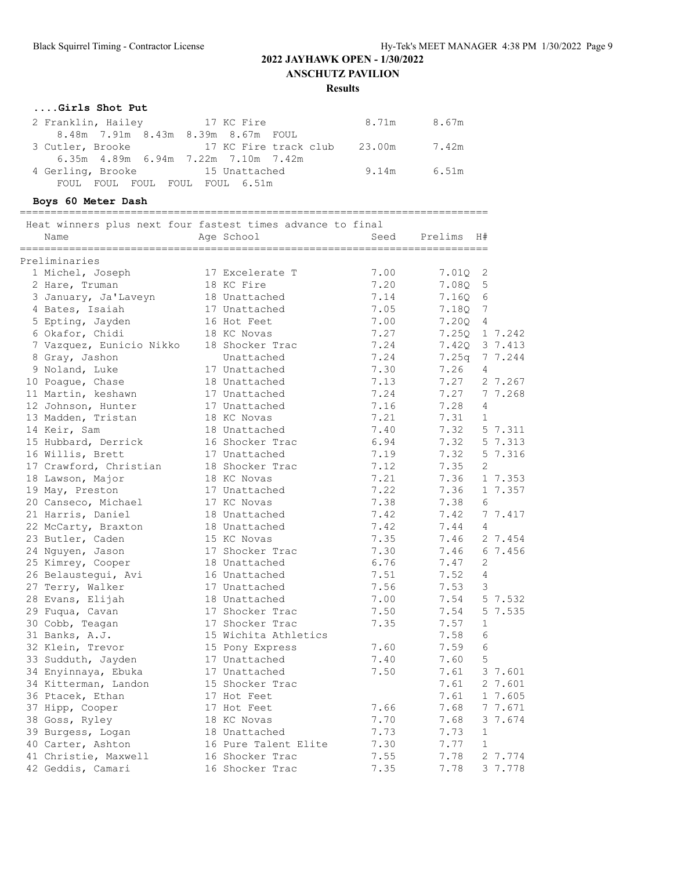## **....Girls Shot Put**

| 2 Franklin, Hailey 17 KC Fire      |                                          | 8.71m  | 8.67m |
|------------------------------------|------------------------------------------|--------|-------|
| 8.48m 7.91m 8.43m 8.39m 8.67m FOUL |                                          |        |       |
|                                    | 3 Cutler, Brooke 17 KC Fire track club   | 23.00m | 7.42m |
|                                    | 6.35m  4.89m  6.94m  7.22m  7.10m  7.42m |        |       |
| 4 Gerling, Brooke 15 Unattached    |                                          | 9.14m  | 6.51m |
| FOUL FOUL FOUL FOUL FOUL 6.51m     |                                          |        |       |

## **Boys 60 Meter Dash**

============================================================================ Heat winners plus next four fastest times advance to final

| Heat winners plus next four fastest times advance to final<br>Name | Age School           | Seed | Prelims H#    |                |         |
|--------------------------------------------------------------------|----------------------|------|---------------|----------------|---------|
| Preliminaries                                                      |                      |      |               |                |         |
| 1 Michel, Joseph                                                   | 17 Excelerate T      | 7.00 | 7.01Q         | 2              |         |
| 2 Hare, Truman                                                     | 18 KC Fire           | 7.20 | 7.08Q         | 5              |         |
| 3 January, Ja'Laveyn                                               | 18 Unattached        | 7.14 | 7.160         | 6              |         |
| 4 Bates, Isaiah                                                    | 17 Unattached        | 7.05 | 7.180         | 7              |         |
| 5 Epting, Jayden                                                   | 16 Hot Feet          | 7.00 | 7.200         | 4              |         |
| 6 Okafor, Chidi                                                    | 18 KC Novas          | 7.27 | 7.250 1 7.242 |                |         |
| 7 Vazquez, Eunicio Nikko                                           | 18 Shocker Trac      | 7.24 | 7.420 3 7.413 |                |         |
| 8 Gray, Jashon                                                     | Unattached           | 7.24 | 7.25q 7 7.244 |                |         |
| 9 Noland, Luke                                                     | 17 Unattached        | 7.30 | 7.26          | 4              |         |
| 10 Poaque, Chase                                                   | 18 Unattached        | 7.13 | 7.27          |                | 2 7.267 |
| 11 Martin, keshawn                                                 | 17 Unattached        | 7.24 | 7.27          |                | 7 7.268 |
| 12 Johnson, Hunter                                                 | 17 Unattached        | 7.16 | 7.28          | $\overline{4}$ |         |
| 13 Madden, Tristan                                                 | 18 KC Novas          | 7.21 | 7.31          | $\mathbf{1}$   |         |
| 14 Keir, Sam                                                       | 18 Unattached        | 7.40 | 7.32          |                | 5 7.311 |
| 15 Hubbard, Derrick                                                | 16 Shocker Trac      | 6.94 | 7.32          |                | 5 7.313 |
| 16 Willis, Brett                                                   | 17 Unattached        | 7.19 | 7.32          |                | 5 7.316 |
| 17 Crawford, Christian                                             | 18 Shocker Trac      | 7.12 | 7.35          | 2              |         |
| 18 Lawson, Major                                                   | 18 KC Novas          | 7.21 | 7.36          |                | 1 7.353 |
| 19 May, Preston                                                    | 17 Unattached        | 7.22 | 7.36          |                | 1 7.357 |
| 20 Canseco, Michael                                                | 17 KC Novas          | 7.38 | 7.38          | 6              |         |
| 21 Harris, Daniel                                                  | 18 Unattached        | 7.42 | 7.42          |                | 7 7.417 |
| 22 McCarty, Braxton                                                | 18 Unattached        | 7.42 | 7.44          | 4              |         |
| 23 Butler, Caden                                                   | 15 KC Novas          | 7.35 | 7.46          |                | 2 7.454 |
| 24 Nguyen, Jason                                                   | 17 Shocker Trac      | 7.30 | 7.46          |                | 6 7.456 |
| 25 Kimrey, Cooper                                                  | 18 Unattached        | 6.76 | 7.47          | 2              |         |
| 26 Belaustequi, Avi                                                | 16 Unattached        | 7.51 | 7.52          | 4              |         |
| 27 Terry, Walker                                                   | 17 Unattached        | 7.56 | 7.53          | 3              |         |
| 28 Evans, Elijah                                                   | 18 Unattached        | 7.00 | 7.54          |                | 5 7.532 |
| 29 Fuqua, Cavan                                                    | 17 Shocker Trac      | 7.50 | 7.54          |                | 5 7.535 |
| 30 Cobb, Teagan                                                    | 17 Shocker Trac      | 7.35 | 7.57          | $\mathbf 1$    |         |
| 31 Banks, A.J.                                                     | 15 Wichita Athletics |      | 7.58          | 6              |         |
| 32 Klein, Trevor                                                   | 15 Pony Express      | 7.60 | 7.59          | 6              |         |
| 33 Sudduth, Jayden                                                 | 17 Unattached        | 7.40 | 7.60          | 5              |         |
| 34 Enyinnaya, Ebuka                                                | 17 Unattached        | 7.50 | 7.61          |                | 3 7.601 |
| 34 Kitterman, Landon                                               | 15 Shocker Trac      |      | 7.61          |                | 2 7.601 |
| 36 Ptacek, Ethan                                                   | 17 Hot Feet          |      | 7.61          |                | 1 7.605 |
| 37 Hipp, Cooper                                                    | 17 Hot Feet          | 7.66 | 7.68          |                | 7 7.671 |
| 38 Goss, Ryley                                                     | 18 KC Novas          | 7.70 | 7.68          |                | 3 7.674 |
| 39 Burgess, Logan                                                  | 18 Unattached        | 7.73 | 7.73          | 1              |         |
| 40 Carter, Ashton                                                  | 16 Pure Talent Elite | 7.30 | 7.77          | 1              |         |
| 41 Christie, Maxwell                                               | 16 Shocker Trac      | 7.55 | 7.78          |                | 2 7.774 |
| 42 Geddis, Camari                                                  | 16 Shocker Trac      | 7.35 | 7.78          |                | 3 7.778 |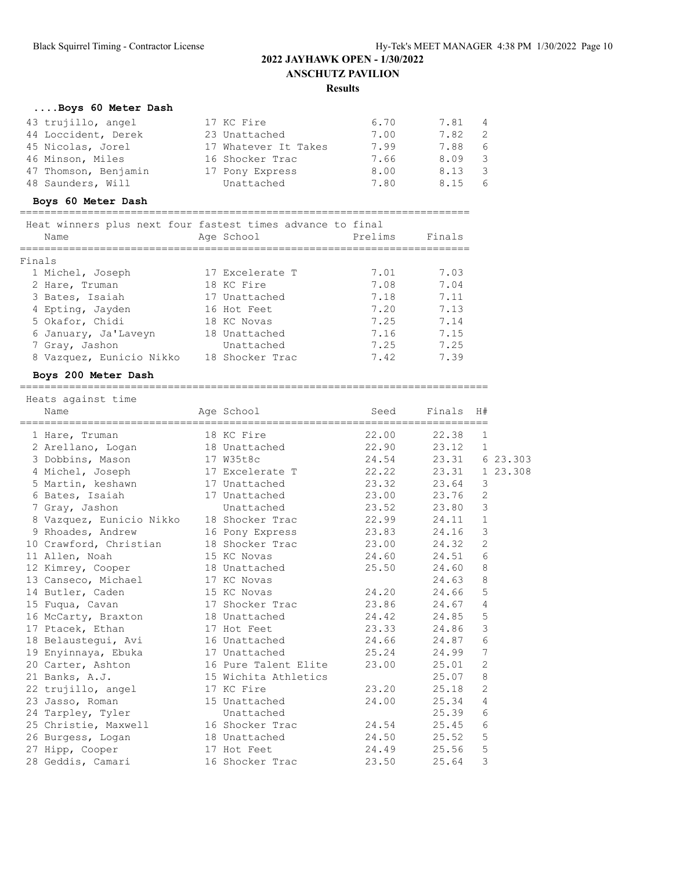# **....Boys 60 Meter Dash**

| 43 trujillo, angel   | 17 KC Fire           | 6.70 | 7.81 4 |     |
|----------------------|----------------------|------|--------|-----|
| 44 Loccident, Derek  | 23 Unattached        | 7.00 | 7.82   | -2  |
| 45 Nicolas, Jorel    | 17 Whatever It Takes | 7.99 | 7.88   | - 6 |
| 46 Minson, Miles     | 16 Shocker Trac      | 7.66 | 8.09 3 |     |
| 47 Thomson, Benjamin | 17 Pony Express      | 8.00 | 8.13   | -3  |
| 48 Saunders, Will    | Unattached           | 7.80 | 8.15   | - 6 |

## **Boys 60 Meter Dash**

=========================================================================

| Name                     |            | Prelims                                                                                                                        | Finals                                                     |
|--------------------------|------------|--------------------------------------------------------------------------------------------------------------------------------|------------------------------------------------------------|
| Finals                   |            |                                                                                                                                |                                                            |
| 1 Michel, Joseph         |            | 7.01                                                                                                                           | 7.03                                                       |
| 2 Hare, Truman           |            | 7.08                                                                                                                           | 7.04                                                       |
| 3 Bates, Isaiah          |            | 7.18                                                                                                                           | 7.11                                                       |
| 4 Epting, Jayden         |            | 7.20                                                                                                                           | 7.13                                                       |
| 5 Okafor, Chidi          |            | 7.25                                                                                                                           | 7.14                                                       |
| 6 January, Ja'Laveyn     |            | 7.16                                                                                                                           | 7.15                                                       |
| 7 Gray, Jashon           | Unattached | 7.25                                                                                                                           | 7.25                                                       |
| 8 Vazquez, Eunicio Nikko |            | 7.42                                                                                                                           | 7.39                                                       |
|                          |            | Age School<br>17 Excelerate T<br>18 KC Fire<br>17 Unattached<br>16 Hot Feet<br>18 KC Novas<br>18 Unattached<br>18 Shocker Trac | Heat winners plus next four fastest times advance to final |

# **Boys 200 Meter Dash**

| Heats against time                       |                      |       |        |                |          |
|------------------------------------------|----------------------|-------|--------|----------------|----------|
| Name                                     | Age School           | Seed  | Finals | H#             |          |
| 1 Hare, Truman                           | 18 KC Fire           | 22.00 | 22.38  | $\mathbf{1}$   |          |
| 2 Arellano, Logan                        | 18 Unattached        | 22.90 | 23.12  | $\mathbf{1}$   |          |
| 3 Dobbins, Mason                         | 17 W35t8c            | 24.54 | 23.31  |                | 6 23.303 |
| 4 Michel, Joseph                         | 17 Excelerate T      | 22.22 | 23.31  |                | 1 23.308 |
| 5 Martin, keshawn                        | 17 Unattached        | 23.32 | 23.64  | 3              |          |
| 6 Bates, Isaiah                          | 17 Unattached        | 23.00 | 23.76  | 2              |          |
| 7 Gray, Jashon                           | Unattached           | 23.52 | 23.80  | 3              |          |
| 8 Vazquez, Eunicio Nikko 18 Shocker Trac |                      | 22.99 | 24.11  | $\mathbf{1}$   |          |
| 9 Rhoades, Andrew                        | 16 Pony Express      | 23.83 | 24.16  | 3              |          |
| 10 Crawford, Christian                   | 18 Shocker Trac      | 23.00 | 24.32  | $\overline{2}$ |          |
| 11 Allen, Noah                           | 15 KC Novas          | 24.60 | 24.51  | 6              |          |
| 12 Kimrey, Cooper                        | 18 Unattached        | 25.50 | 24.60  | 8              |          |
| 13 Canseco, Michael                      | 17 KC Novas          |       | 24.63  | 8              |          |
| 14 Butler, Caden                         | 15 KC Novas          | 24.20 | 24.66  | 5              |          |
| 15 Fuqua, Cavan                          | 17 Shocker Trac      | 23.86 | 24.67  | 4              |          |
| 16 McCarty, Braxton                      | 18 Unattached        | 24.42 | 24.85  | 5              |          |
| 17 Ptacek, Ethan                         | 17 Hot Feet          | 23.33 | 24.86  | 3              |          |
| 18 Belaustequi, Avi                      | 16 Unattached        | 24.66 | 24.87  | 6              |          |
| 19 Enyinnaya, Ebuka                      | 17 Unattached        | 25.24 | 24.99  | 7              |          |
| 20 Carter, Ashton                        | 16 Pure Talent Elite | 23.00 | 25.01  | 2              |          |
| 21 Banks, A.J.                           | 15 Wichita Athletics |       | 25.07  | 8              |          |
| 22 trujillo, angel                       | 17 KC Fire           | 23.20 | 25.18  | $\overline{c}$ |          |
| 23 Jasso, Roman                          | 15 Unattached        | 24.00 | 25.34  | 4              |          |
| 24 Tarpley, Tyler                        | Unattached           |       | 25.39  | 6              |          |
| 25 Christie, Maxwell                     | 16 Shocker Trac      | 24.54 | 25.45  | 6              |          |
| 26 Burgess, Logan                        | 18 Unattached        | 24.50 | 25.52  | 5              |          |
| 27 Hipp, Cooper                          | 17 Hot Feet          | 24.49 | 25.56  | 5              |          |
| 28 Geddis, Camari                        | 16 Shocker Trac      | 23.50 | 25.64  | 3              |          |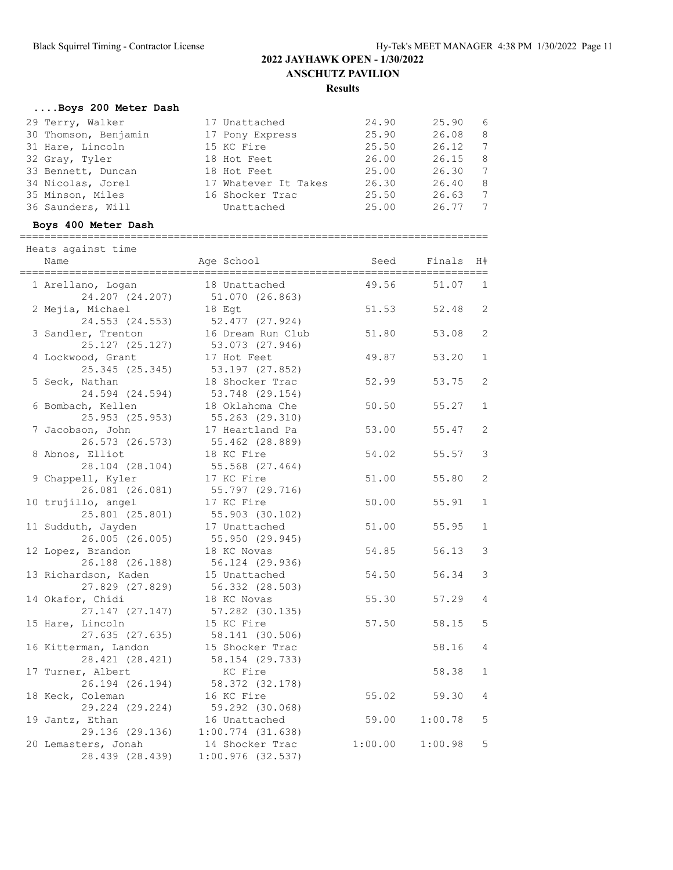# **....Boys 200 Meter Dash**

| 29 Terry, Walker     | 17 Unattached        | 24.90 | 25.90 | - 6 |
|----------------------|----------------------|-------|-------|-----|
| 30 Thomson, Benjamin | 17 Pony Express      | 25.90 | 26.08 | - 8 |
| 31 Hare, Lincoln     | 15 KC Fire           | 25.50 | 26.12 | 7   |
| 32 Gray, Tyler       | 18 Hot Feet          | 26.00 | 26.15 | - 8 |
| 33 Bennett, Duncan   | 18 Hot Feet          | 25.00 | 26.30 | 7   |
| 34 Nicolas, Jorel    | 17 Whatever It Takes | 26.30 | 26.40 | - 8 |
| 35 Minson, Miles     | 16 Shocker Trac      | 25.50 | 26.63 | 7   |
| 36 Saunders, Will    | Unattached           | 25.00 | 26.77 | - 7 |

============================================================================

#### **Boys 400 Meter Dash**

| Heats against time<br>Name              | Age School                             | Seed    | Finals  | H#             |
|-----------------------------------------|----------------------------------------|---------|---------|----------------|
| 1 Arellano, Logan<br>24.207 (24.207)    | 18 Unattached<br>51.070 (26.863)       | 49.56   | 51.07   | $\mathbf{1}$   |
| 2 Mejia, Michael<br>24.553 (24.553)     | 18 Eqt<br>52.477 (27.924)              | 51.53   | 52.48   | $\overline{2}$ |
| 3 Sandler, Trenton<br>25.127 (25.127)   | 16 Dream Run Club<br>53.073 (27.946)   | 51.80   | 53.08   | $\overline{2}$ |
| 4 Lockwood, Grant<br>25.345 (25.345)    | 17 Hot Feet<br>53.197 (27.852)         | 49.87   | 53.20   | $\mathbf{1}$   |
| 5 Seck, Nathan<br>24.594 (24.594)       | 18 Shocker Trac<br>53.748 (29.154)     | 52.99   | 53.75   | $\overline{2}$ |
| 6 Bombach, Kellen<br>25.953 (25.953)    | 18 Oklahoma Che<br>55.263 (29.310)     | 50.50   | 55.27   | $\mathbf{1}$   |
| 7 Jacobson, John<br>26.573 (26.573)     | 17 Heartland Pa<br>55.462 (28.889)     | 53.00   | 55.47   | $\overline{2}$ |
| 8 Abnos, Elliot<br>28.104 (28.104)      | 18 KC Fire<br>55.568 (27.464)          | 54.02   | 55.57   | 3              |
| 9 Chappell, Kyler<br>26.081 (26.081)    | 17 KC Fire<br>55.797 (29.716)          | 51.00   | 55.80   | $\overline{2}$ |
| 10 trujillo, angel<br>25.801 (25.801)   | 17 KC Fire<br>55.903 (30.102)          | 50.00   | 55.91   | $\mathbf{1}$   |
| 11 Sudduth, Jayden<br>26.005 (26.005)   | 17 Unattached<br>55.950 (29.945)       | 51.00   | 55.95   | $\mathbf{1}$   |
| 12 Lopez, Brandon<br>26.188 (26.188)    | 18 KC Novas<br>56.124 (29.936)         | 54.85   | 56.13   | 3              |
| 13 Richardson, Kaden<br>27.829 (27.829) | 15 Unattached<br>56.332 (28.503)       | 54.50   | 56.34   | 3              |
| 14 Okafor, Chidi<br>27.147 (27.147)     | 18 KC Novas<br>57.282 (30.135)         | 55.30   | 57.29   | $\overline{4}$ |
| 15 Hare, Lincoln<br>27.635 (27.635)     | 15 KC Fire<br>58.141 (30.506)          | 57.50   | 58.15   | 5              |
| 16 Kitterman, Landon<br>28.421 (28.421) | 15 Shocker Trac<br>58.154 (29.733)     |         | 58.16   | $\overline{4}$ |
| 17 Turner, Albert<br>26.194 (26.194)    | KC Fire<br>58.372 (32.178)             |         | 58.38   | $\mathbf{1}$   |
| 18 Keck, Coleman<br>29.224 (29.224)     | 16 KC Fire<br>59.292 (30.068)          | 55.02   | 59.30   | 4              |
| 19 Jantz, Ethan<br>29.136 (29.136)      | 16 Unattached<br>$1:00.774$ $(31.638)$ | 59.00   | 1:00.78 | 5              |
| 20 Lemasters, Jonah<br>28.439 (28.439)  | 14 Shocker Trac<br>$1:00.976$ (32.537) | 1:00.00 | 1:00.98 | 5              |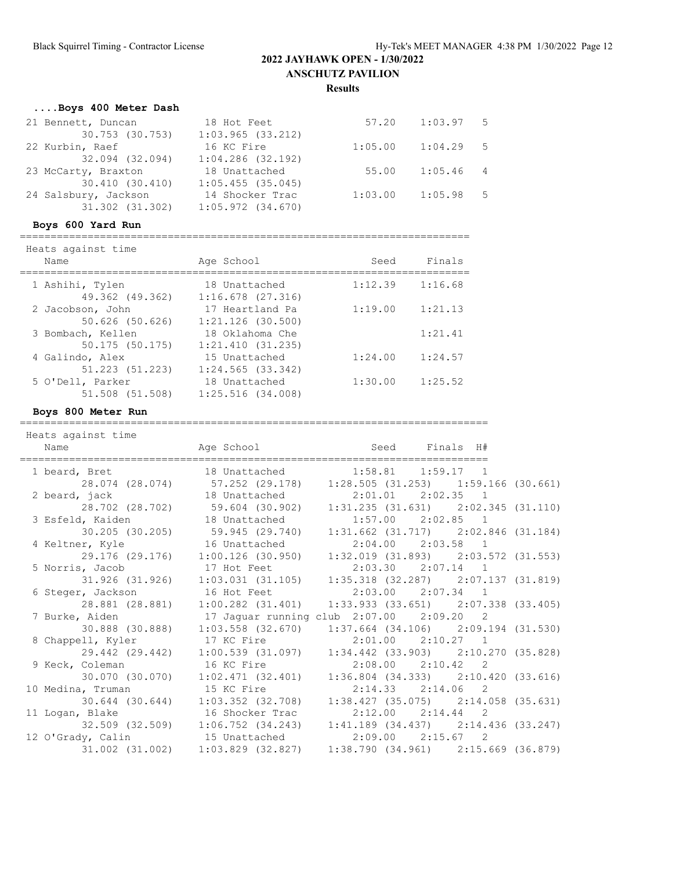# **....Boys 400 Meter Dash**

| 21 Bennett, Duncan   | 18 Hot Feet           | 57.20   | $1:03.97$ 5 |  |
|----------------------|-----------------------|---------|-------------|--|
| 30.753 (30.753)      | $1:03.965$ $(33.212)$ |         |             |  |
| 22 Kurbin, Raef      | 16 KC Fire            | 1:05.00 | $1:04.29$ 5 |  |
| 32.094 (32.094)      | $1:04.286$ (32.192)   |         |             |  |
| 23 McCarty, Braxton  | 18 Unattached         | 55.00   | $1:05.46$ 4 |  |
| 30.410 (30.410)      | 1:05.455(35.045)      |         |             |  |
| 24 Salsbury, Jackson | 14 Shocker Trac       | 1:03.00 | $1:05.98$ 5 |  |
| 31.302 (31.302)      | $1:05.972$ $(34.670)$ |         |             |  |

## **Boys 600 Yard Run**

| Heats against time                       |                                        |         |         |  |  |  |  |
|------------------------------------------|----------------------------------------|---------|---------|--|--|--|--|
| Name                                     | Age School                             | Seed    | Finals  |  |  |  |  |
| 1 Ashihi, Tylen<br>49.362 (49.362)       | 18 Unattached<br>$1:16.678$ $(27.316)$ | 1:12.39 | 1:16.68 |  |  |  |  |
| 2 Jacobson, John<br>50.626 (50.626)      | 17 Heartland Pa<br>$1:21.126$ (30.500) | 1:19.00 | 1:21.13 |  |  |  |  |
| 3 Bombach, Kellen<br>$50.175$ $(50.175)$ | 18 Oklahoma Che<br>1:21.410(31.235)    |         | 1:21.41 |  |  |  |  |
| 4 Galindo, Alex<br>51.223 (51.223)       | 15 Unattached<br>1:24.565(33.342)      | 1:24.00 | 1:24.57 |  |  |  |  |
| 5 O'Dell, Parker<br>51.508 (51.508)      | 18 Unattached<br>$1:25.516$ $(34.008)$ | 1:30.00 | 1:25.52 |  |  |  |  |

#### **Boys 800 Meter Run**

| Heats against time              |                                   |                                                                             |  |
|---------------------------------|-----------------------------------|-----------------------------------------------------------------------------|--|
|                                 |                                   |                                                                             |  |
|                                 |                                   | 1 beard, Bret 18 Unattached 1:58.81 1:59.17 1                               |  |
|                                 |                                   | 28.074 (28.074) 57.252 (29.178) 1:28.505 (31.253) 1:59.166 (30.661)         |  |
| 2 beard, jack 18 Unattached     |                                   | $2:01.01$ $2:02.35$ 1                                                       |  |
|                                 |                                   | 28.702 (28.702) 59.604 (30.902) 1:31.235 (31.631) 2:02.345 (31.110)         |  |
| 3 Esfeld, Kaiden 18 Unattached  |                                   | $1:57.00$ $2:02.85$ 1                                                       |  |
|                                 |                                   | $30.205$ (30.205) $59.945$ (29.740) $1:31.662$ (31.717) $2:02.846$ (31.184) |  |
| 4 Keltner, Kyle 16 Unattached   |                                   | $2:04.00$ $2:03.58$ 1                                                       |  |
|                                 |                                   | 29.176 (29.176) 1:00.126 (30.950) 1:32.019 (31.893) 2:03.572 (31.553)       |  |
|                                 |                                   | 5 Norris, Jacob 17 Hot Feet 2:03.30 2:07.14 1                               |  |
| 31.926 (31.926)                 | $1:03.031$ (31.105)               | $1:35.318$ (32.287) $2:07.137$ (31.819)                                     |  |
|                                 |                                   | 6 Steger, Jackson 16 Hot Feet 2:03.00 2:07.34 1                             |  |
|                                 |                                   | 28.881 (28.881) 1:00.282 (31.401) 1:33.933 (33.651) 2:07.338 (33.405)       |  |
| 7 Burke, Aiden                  |                                   | 17 Jaguar running club 2:07.00 2:09.20 2                                    |  |
|                                 |                                   | 30.888 (30.888) 1:03.558 (32.670) 1:37.664 (34.106) 2:09.194 (31.530)       |  |
|                                 |                                   | 8 Chappell, Kyler 17 KC Fire 2:01.00 2:10.27 1                              |  |
|                                 |                                   | 29.442 (29.442) 1:00.539 (31.097) 1:34.442 (33.903) 2:10.270 (35.828)       |  |
| 9 Keck, Coleman 16 KC Fire      |                                   | $2:08.00$ $2:10.42$ 2                                                       |  |
|                                 |                                   | $1:36.804$ (34.333) $2:10.420$ (33.616)                                     |  |
| 10 Medina, Truman 15 KC Fire    |                                   | $2:14.33$ $2:14.06$ 2                                                       |  |
| 30.644 (30.644)                 | 1:03.352 (32.708)                 | $1:38.427$ (35.075) $2:14.058$ (35.631)                                     |  |
| 11 Logan, Blake 16 Shocker Trac |                                   | $2:12.00$ $2:14.44$ 2                                                       |  |
|                                 |                                   | 32.509 (32.509) 1:06.752 (34.243) 1:41.189 (34.437) 2:14.436 (33.247)       |  |
| 12 O'Grady, Calin 15 Unattached |                                   | $2:09.00$ $2:15.67$ 2                                                       |  |
|                                 | 31.002 (31.002) 1:03.829 (32.827) | 1:38.790(34.961)2:15.669(36.879)                                            |  |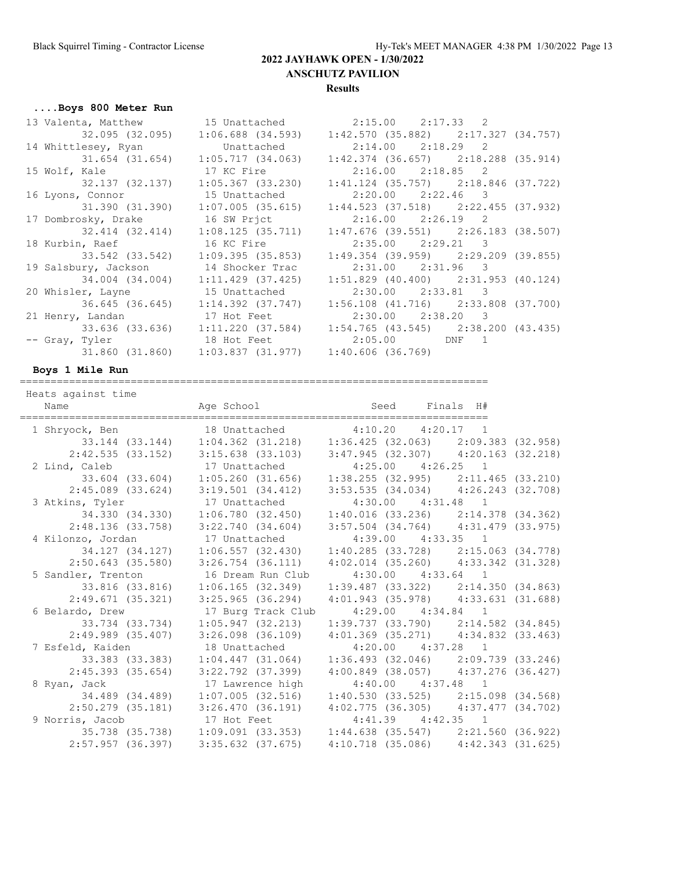#### **Results**

# **....Boys 800 Meter Run**

| 13 Valenta, Matthew 15 Unattached    |                                    | $2:15.00$ $2:17.33$ 2                               |  |
|--------------------------------------|------------------------------------|-----------------------------------------------------|--|
| 32.095 (32.095)                      | 1:06.688 (34.593)                  | $1:42.570$ (35.882) $2:17.327$ (34.757)             |  |
| 14 Whittlesey, Ryan brattached       |                                    | $2:14.00$ $2:18.29$ 2                               |  |
|                                      | 31.654 (31.654)  1:05.717 (34.063) | $1:42.374$ (36.657) $2:18.288$ (35.914)             |  |
| 15 Wolf, Kale 5 17 KC Fire           |                                    | $2:16.00$ $2:18.85$ 2                               |  |
|                                      |                                    | $1:41.124$ (35.757) $2:18.846$ (37.722)             |  |
| 16 Lyons, Connor 15 Unattached       |                                    | $2:20.00$ $2:22.46$ 3                               |  |
|                                      | 31.390 (31.390) 1:07.005 (35.615)  | $1:44.523$ (37.518) $2:22.455$ (37.932)             |  |
| 17 Dombrosky, Drake                  | 16 SW Prict                        | $2:16.00$ $2:26.19$ 2                               |  |
| 32.414 (32.414)                      | 1:08.125 (35.711)                  | $1:47.676$ (39.551) $2:26.183$ (38.507)             |  |
| 18 Kurbin, Raef 16 KC Fire           |                                    | $2:35.00$ $2:29.21$ 3                               |  |
|                                      |                                    | $1:49.354$ (39.959) $2:29.209$ (39.855)             |  |
| 19 Salsbury, Jackson 14 Shocker Trac |                                    | 2:31.00 2:31.96 3                                   |  |
|                                      |                                    | $1:51.829$ (40.400) $2:31.953$ (40.124)             |  |
| 20 Whisler, Layne 15 Unattached      |                                    | 2:30.00 2:33.81 3                                   |  |
|                                      |                                    | $1:56.108$ (41.716) $2:33.808$ (37.700)             |  |
| 21 Henry, Landan 17 Hot Feet         |                                    | 2:30.00 2:38.20 3                                   |  |
|                                      |                                    | $1:54.765$ (43.545) $2:38.200$ (43.435)             |  |
|                                      |                                    | -- Gray, Tyler 18 Hot Feet 2:05.00 DNF 1            |  |
|                                      |                                    | 31.860 (31.860) 1:03.837 (31.977) 1:40.606 (36.769) |  |

============================================================================

#### **Boys 1 Mile Run**

| Heats against time                 |                                       |                                                                         |  |
|------------------------------------|---------------------------------------|-------------------------------------------------------------------------|--|
| Name                               |                                       | Age School <a> Seed Finals<br/> H#</a>                                  |  |
|                                    |                                       | 1 Shryock, Ben 18 Unattached 4:10.20 4:20.17 1                          |  |
|                                    |                                       | 33.144 (33.144) 1:04.362 (31.218) 1:36.425 (32.063) 2:09.383 (32.958)   |  |
|                                    |                                       | 2:42.535 (33.152) 3:15.638 (33.103) 3:47.945 (32.307) 4:20.163 (32.218) |  |
| 2 Lind, Caleb 17 Unattached        |                                       | $4:25.00$ $4:26.25$ 1                                                   |  |
|                                    | 33.604 (33.604) 1:05.260 (31.656)     | $1:38.255$ (32.995) $2:11.465$ (33.210)                                 |  |
|                                    |                                       | 2:45.089 (33.624) 3:19.501 (34.412) 3:53.535 (34.034) 4:26.243 (32.708) |  |
| 3 Atkins, Tyler 17 Unattached      |                                       | 4:30.00  4:31.48  1                                                     |  |
|                                    | 34.330 (34.330) 1:06.780 (32.450)     | $1:40.016$ (33.236) $2:14.378$ (34.362)                                 |  |
|                                    | $2:48.136$ (33.758) 3:22.740 (34.604) | 3:57.504 (34.764) 4:31.479 (33.975)                                     |  |
| 4 Kilonzo, Jordan 17 Unattached    |                                       | $4:39.00$ $4:33.35$ 1                                                   |  |
|                                    |                                       | 34.127 (34.127) 1:06.557 (32.430) 1:40.285 (33.728) 2:15.063 (34.778)   |  |
| $2:50.643$ (35.580)                | 3:26.754 (36.111)                     | $4:02.014$ (35.260) $4:33.342$ (31.328)                                 |  |
| 5 Sandler, Trenton                 | 16 Dream Run Club                     | $4:30.00$ $4:33.64$ 1                                                   |  |
|                                    |                                       | $1:39.487$ (33.322) $2:14.350$ (34.863)                                 |  |
|                                    | $2:49.671(35.321)$ $3:25.965(36.294)$ | $4:01.943$ (35.978) $4:33.631$ (31.688)                                 |  |
| 6 Belardo, Drew 17 Burg Track Club |                                       | $4:29.00$ $4:34.84$ 1                                                   |  |
| 33.734 (33.734)                    | $1:05.947$ (32.213)                   | $1:39.737$ (33.790) $2:14.582$ (34.845)                                 |  |
|                                    |                                       | 2:49.989 (35.407) 3:26.098 (36.109) 4:01.369 (35.271) 4:34.832 (33.463) |  |
| 7 Esfeld, Kaiden 18 Unattached     |                                       | $4:20.00$ $4:37.28$ 1                                                   |  |
| 33.383 (33.383)                    | $1:04.447$ $(31.064)$                 | $1:36.493$ (32.046) 2:09.739 (33.246)                                   |  |
| $2:45.393$ (35.654)                | $3:22.792$ $(37.399)$                 | $4:00.849$ (38.057) $4:37.276$ (36.427)                                 |  |
| 8 Ryan, Jack                       | 17 Lawrence high                      | $4:40.00$ $4:37.48$ 1                                                   |  |
|                                    |                                       | 34.489 (34.489) 1:07.005 (32.516) 1:40.530 (33.525) 2:15.098 (34.568)   |  |
|                                    |                                       | 2:50.279 (35.181) 3:26.470 (36.191) 4:02.775 (36.305) 4:37.477 (34.702) |  |
| 9 Norris, Jacob 17 Hot Feet        |                                       | $4:41.39$ $4:42.35$ 1                                                   |  |
|                                    |                                       | 35.738 (35.738) 1:09.091 (33.353) 1:44.638 (35.547) 2:21.560 (36.922)   |  |
|                                    |                                       | 2:57.957 (36.397) 3:35.632 (37.675) 4:10.718 (35.086) 4:42.343 (31.625) |  |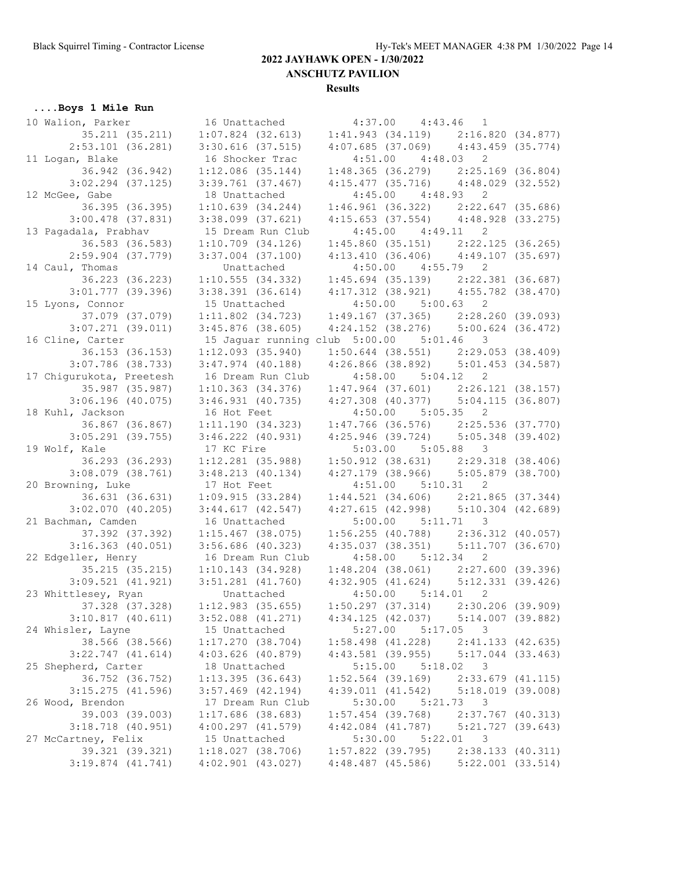# **2022 JAYHAWK OPEN - 1/30/2022**

**ANSCHUTZ PAVILION**

## **Results**

# **....Boys 1 Mile Run**

| 10 Walion, Parker                           |                                              | 16 Unattached 4:37.00 4:43.46 1                                                  |                                            |
|---------------------------------------------|----------------------------------------------|----------------------------------------------------------------------------------|--------------------------------------------|
|                                             |                                              | 35.211 (35.211) 1:07.824 (32.613) 1:41.943 (34.119) 2:16.820 (34.877)            |                                            |
|                                             | 2:53.101 (36.281) 3:30.616 (37.515)          | $4:07.685$ (37.069) $4:43.459$ (35.774)                                          |                                            |
| 11 Logan, Blake                             | 16 Shocker Trac                              | $4:51.00$ $4:48.03$ 2                                                            |                                            |
| 36.942 (36.942)                             | $1:12.086$ (35.144)                          | $1:48.365$ (36.279) $2:25.169$ (36.804)                                          |                                            |
| $3:02.294$ (37.125)                         | $3:39.761$ (37.467)                          | $4:15.477$ (35.716) $4:48.029$ (32.552)                                          |                                            |
| 12 McGee, Gabe                              | 18 Unattached                                | $4:45.00$ $4:48.93$ 2                                                            |                                            |
| 36.395 (36.395)                             | 1:10.639(34.244)                             | $1:46.961$ (36.322) $2:22.647$ (35.686)                                          |                                            |
| $3:00.478$ $(37.831)$                       | $3:38.099$ $(37.621)$                        | $4:15.653$ (37.554) $4:48.928$ (33.275)                                          |                                            |
| 13 Pagadala, Prabhav                        | 15 Dream Run Club                            | $4:45.00$ $4:49.11$ 2                                                            |                                            |
| 36.583 (36.583)                             | $1:10.709$ $(34.126)$                        | $1:45.860$ (35.151) $2:22.125$ (36.265)                                          |                                            |
| $2:59.904$ (37.779)                         | $3:37.004$ (37.100)                          | $4:13.410$ (36.406) $4:49.107$ (35.697)                                          |                                            |
| 14 Caul, Thomas                             | Unattached                                   | $4:50.00$ $4:55.79$ 2                                                            |                                            |
| 36.223 (36.223)                             |                                              | $1:10.555$ (34.332) $1:45.694$ (35.139) $2:22.381$ (36.687)                      |                                            |
| $3:01.777$ (39.396)                         |                                              | $3:38.391$ (36.614) $4:17.312$ (38.921) $4:55.782$ (38.470)                      |                                            |
| 15 Lyons, Connor                            | 15 Unattached                                | $4:50.00$ $5:00.63$ 2                                                            |                                            |
| 37.079 (37.079)                             | $1:11.802$ $(34.723)$                        | $1:49.167$ (37.365) $2:28.260$ (39.093)                                          |                                            |
| $3:07.271$ (39.011)                         | $3:45.876$ (38.605)                          | $4:24.152$ (38.276) $5:00.624$ (36.472)                                          |                                            |
| 16 Cline, Carter                            |                                              | 15 Jaguar running club 5:00.00 5:01.46 3                                         |                                            |
| 36.153 (36.153)                             | $1:12.093$ (35.940)                          | $1:50.644$ (38.551) $2:29.053$ (38.409)                                          |                                            |
| $3:07.786$ (38.733)                         | $3:47.974$ (40.188)                          | 4:26.866 (38.892) 5:01.453 (34.587)                                              |                                            |
| 17 Chigurukota, Preetesh                    | 16 Dream Run Club                            | $4:58.00$ $5:04.12$ 2                                                            |                                            |
| 35.987 (35.987)                             | $1:10.363$ $(34.376)$                        | $1:47.964$ (37.601) $2:26.121$ (38.157)                                          |                                            |
| $3:06.196$ (40.075)                         | 3:46.931(40.735)                             | $4:27.308$ (40.377) $5:04.115$ (36.807)                                          |                                            |
| 18 Kuhl, Jackson                            | 16 Hot Feet                                  | $4:50.00$ $5:05.35$ 2                                                            |                                            |
| 36.867 (36.867)                             |                                              | 1:11.190 (34.323) 1:47.766 (36.576) 2:25.536 (37.770)                            |                                            |
| $3:05.291$ (39.755)                         |                                              |                                                                                  |                                            |
|                                             | $3:46.222$ (40.931)                          | 4:25.946 (39.724) 5:05.348 (39.402)                                              |                                            |
| 19 Wolf, Kale                               | 17 KC Fire                                   | $5:03.00$ $5:05.88$ 3                                                            |                                            |
| 36.293 (36.293)<br>$3:08.079$ (38.761)      | $1:12.281$ (35.988)                          | $1:50.912$ (38.631) $2:29.318$ (38.406)<br>$4:27.179$ (38.966) 5:05.879 (38.700) |                                            |
|                                             | $3:48.213$ (40.134)                          | $4:51.00$ $5:10.31$ 2                                                            |                                            |
| 20 Browning, Luke                           | 17 Hot Feet                                  |                                                                                  |                                            |
| 36.631(36.631)                              | 1:09.915(33.284)                             | $1:44.521$ (34.606) $2:21.865$ (37.344)                                          |                                            |
| $3:02.070$ (40.205)                         | $3:44.617$ $(42.547)$                        | $4:27.615$ (42.998) $5:10.304$ (42.689)                                          |                                            |
| 21 Bachman, Camden                          | 16 Unattached                                | $5:00.00$ $5:11.71$ 3                                                            |                                            |
| 37.392 (37.392)                             | $1:15.467$ (38.075)                          | $1:56.255$ (40.788) $2:36.312$ (40.057)<br>4:35.037 (38.351) 5:11.707 (36.670)   |                                            |
| $3:16.363$ $(40.051)$<br>22 Edgeller, Henry | $3:56.686$ (40.323)                          |                                                                                  |                                            |
|                                             |                                              |                                                                                  |                                            |
|                                             | 16 Dream Run Club                            | $4:58.00$ $5:12.34$ 2                                                            |                                            |
| 35.215 (35.215)                             | 1:10.143(34.928)                             | $1:48.204$ (38.061) $2:27.600$ (39.396)                                          |                                            |
|                                             | $3:09.521$ (41.921) $3:51.281$ (41.760)      | 4:32.905 (41.624) 5:12.331 (39.426)                                              |                                            |
| 23 Whittlesey, Ryan                         | Unattached                                   | $4:50.00$ $5:14.01$ 2                                                            |                                            |
| 37.328 (37.328)                             | $1:12.983$ (35.655)                          | $1:50.297$ (37.314) $2:30.206$ (39.909)                                          |                                            |
| 3:10.817(40.611)                            | $3:52.088$ $(41.271)$                        | 4:34.125(42.037)                                                                 | 5:14.007 (39.882)                          |
| 24 Whisler, Layne                           | 15 Unattached                                | 5:27.00<br>5:17.05                                                               | 3                                          |
| 38.566 (38.566)                             | 1:17.270(38.704)                             | $1:58.498$ $(41.228)$                                                            | $2:41.133$ $(42.635)$                      |
| $3:22.747$ $(41.614)$                       | $4:03.626$ $(40.879)$                        | $4:43.581$ (39.955) $5:17.044$ (33.463)                                          |                                            |
| 25 Shepherd, Carter                         | 18 Unattached                                | 5:15.00<br>5:18.02                                                               | $\overline{\mathbf{3}}$                    |
| 36.752 (36.752)                             | 1:13.395(36.643)                             | $1:52.564$ (39.169)                                                              | $2:33.679$ $(41.115)$                      |
| $3:15.275$ $(41.596)$                       | $3:57.469$ $(42.194)$                        | 4:39.011(41.542)                                                                 | $5:18.019$ (39.008)                        |
| 26 Wood, Brendon                            | 17 Dream Run Club                            | 5:30.00<br>5:21.73                                                               | 3                                          |
| 39.003 (39.003)                             | $1:17.686$ (38.683)                          | $1:57.454$ (39.768)                                                              | 2:37.767 (40.313)                          |
| $3:18.718$ $(40.951)$                       | $4:00.297$ $(41.579)$                        | $4:42.084$ $(41.787)$                                                            | $5:21.727$ (39.643)                        |
| 27 McCartney, Felix                         | 15 Unattached                                | 5:30.00<br>5:22.01                                                               | $\overline{\phantom{a}}$                   |
| 39.321 (39.321)                             | $1:18.027$ (38.706)<br>$4:02.901$ $(43.027)$ | $1:57.822$ (39.795)<br>$4:48.487$ (45.586)                                       | 2:38.133 (40.311)<br>$5:22.001$ $(33.514)$ |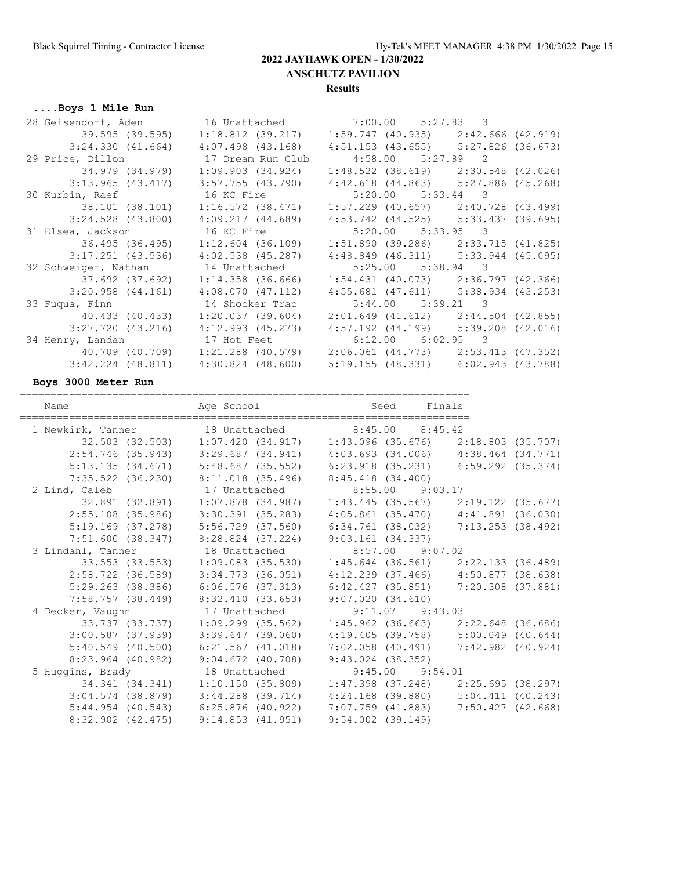#### **Results**

**....Boys 1 Mile Run**

|                                    | 28 Geisendorf, Aden 16 Unattached 7:00.00 5:27.83 3                   |                                             |  |
|------------------------------------|-----------------------------------------------------------------------|---------------------------------------------|--|
|                                    | 39.595 (39.595) 1:18.812 (39.217) 1:59.747 (40.935) 2:42.666 (42.919) |                                             |  |
| 3:24.330 (41.664)                  | $4:07.498$ (43.168)                                                   | 4:51.153 (43.655) 5:27.826 (36.673)         |  |
| 29 Price, Dillon 17 Dream Run Club |                                                                       | $4:58.00$ $5:27.89$ 2                       |  |
|                                    | 34.979 (34.979) 1:09.903 (34.924)                                     | $1:48.522$ (38.619) $2:30.548$ (42.026)     |  |
|                                    | $3:13.965$ (43.417) $3:57.755$ (43.790)                               | 4:42.618 (44.863) 5:27.886 (45.268)         |  |
| 30 Kurbin, Raef                    | 16 KC Fire                                                            | 5:20.00 5:33.44 3                           |  |
| 38.101 (38.101)                    | $1:16.572$ (38.471)                                                   | $1:57.229$ (40.657) $2:40.728$ (43.499)     |  |
| 3:24.528 (43.800)                  | 4:09.217 (44.689)                                                     | 4:53.742 (44.525) 5:33.437 (39.695)         |  |
|                                    | 31 Elsea, Jackson 16 KC Fire                                          | $5:20.00$ $5:33.95$ 3                       |  |
| 36.495 (36.495)                    | 1:12.604 (36.109)                                                     | $1:51.890$ (39.286) $2:33.715$ (41.825)     |  |
|                                    | $3:17.251$ (43.536) $4:02.538$ (45.287)                               | $4:48.849$ (46.311) $5:33.944$ (45.095)     |  |
| 32 Schweiger, Nathan               | 14 Unattached                                                         | $5:25.00$ $5:38.94$ 3                       |  |
| 37.692 (37.692)                    | 1:14.358 (36.666)                                                     | $1:54.431$ (40.073) 2:36.797 (42.366)       |  |
| 3:20.958 (44.161)                  | 4:08.070(47.112)                                                      | $4:55.681$ (47.611) $5:38.934$ (43.253)     |  |
| 33 Fuqua, Finn                     | 14 Shocker Trac                                                       | $5:44.00$ $5:39.21$ 3                       |  |
| 40.433 (40.433)                    | 1:20.037 (39.604)                                                     | $2:01.649$ (41.612) $2:44.504$ (42.855)     |  |
| 3:27.720 (43.216)                  | $4:12.993$ (45.273)                                                   | $4:57.192$ $(44.199)$ $5:39.208$ $(42.016)$ |  |
|                                    | 34 Henry, Landan 17 Hot Feet                                          | $6:12.00$ $6:02.95$ 3                       |  |
|                                    |                                                                       | 2:06.061 (44.773) 2:53.413 (47.352)         |  |
|                                    | $3:42.224$ (48.811) $4:30.824$ (48.600)                               | 5:19.155 (48.331) 6:02.943 (43.788)         |  |
|                                    |                                                                       |                                             |  |

#### **Boys 3000 Meter Run**

========================================================================= Name **Age School** Seed Finals ========================================================================= 1 Newkirk, Tanner 18 Unattached 8:45.00 8:45.42 32.503 (32.503) 1:07.420 (34.917) 1:43.096 (35.676) 2:18.803 (35.707) 2:54.746 (35.943) 3:29.687 (34.941) 4:03.693 (34.006) 4:38.464 (34.771) 5:13.135 (34.671) 5:48.687 (35.552) 6:23.918 (35.231) 6:59.292 (35.374) 7:35.522 (36.230) 8:11.018 (35.496) 8:45.418 (34.400) 2 Lind, Caleb 17 Unattached 8:55.00 9:03.17 32.891 (32.891) 1:07.878 (34.987) 1:43.445 (35.567) 2:19.122 (35.677) 2:55.108 (35.986) 3:30.391 (35.283) 4:05.861 (35.470) 4:41.891 (36.030) 5:19.169 (37.278) 5:56.729 (37.560) 6:34.761 (38.032) 7:13.253 (38.492) 7:51.600 (38.347) 8:28.824 (37.224) 9:03.161 (34.337) 3 Lindahl, Tanner 18 Unattached 8:57.00 9:07.02 33.553 (33.553) 1:09.083 (35.530) 1:45.644 (36.561) 2:22.133 (36.489) 2:58.722 (36.589) 3:34.773 (36.051) 4:12.239 (37.466) 4:50.877 (38.638) 5:29.263 (38.386) 6:06.576 (37.313) 6:42.427 (35.851) 7:20.308 (37.881) 7:58.757 (38.449) 8:32.410 (33.653) 9:07.020 (34.610) 4 Decker, Vaughn 17 Unattached 9:11.07 9:43.03 33.737 (33.737) 1:09.299 (35.562) 1:45.962 (36.663) 2:22.648 (36.686) 3:00.587 (37.939) 3:39.647 (39.060) 4:19.405 (39.758) 5:00.049 (40.644) 5:40.549 (40.500) 6:21.567 (41.018) 7:02.058 (40.491) 7:42.982 (40.924) 8:23.964 (40.982) 9:04.672 (40.708) 9:43.024 (38.352) 5 Huggins, Brady 18 Unattached 9:45.00 9:54.01 34.341 (34.341) 1:10.150 (35.809) 1:47.398 (37.248) 2:25.695 (38.297) 3:04.574 (38.879) 3:44.288 (39.714) 4:24.168 (39.880) 5:04.411 (40.243) 5:44.954 (40.543) 6:25.876 (40.922) 7:07.759 (41.883) 7:50.427 (42.668) 8:32.902 (42.475) 9:14.853 (41.951) 9:54.002 (39.149)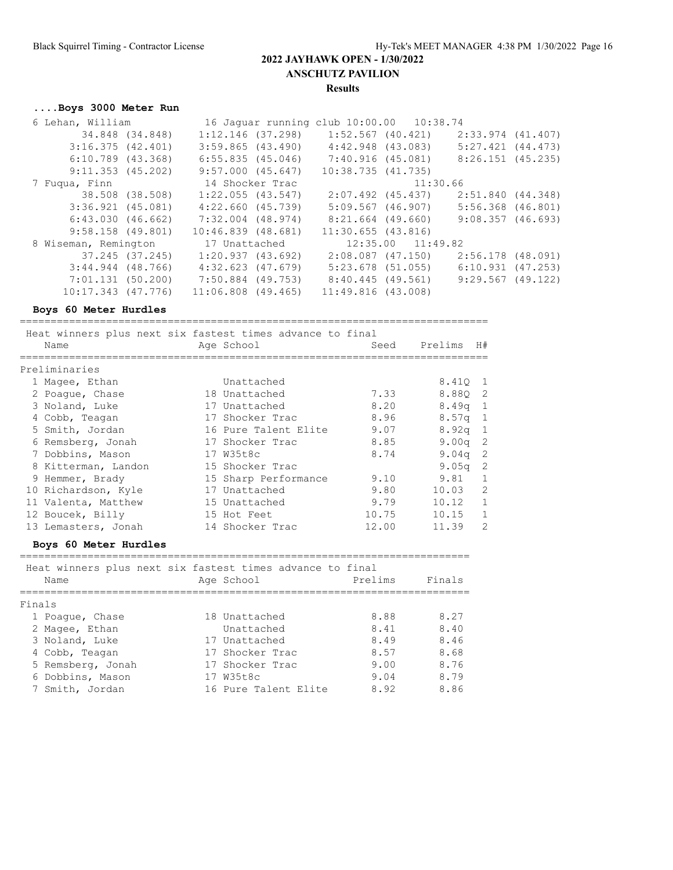#### **....Boys 3000 Meter Run**

| 6 Lehan, William       |                        | 16 Jaguar running club 10:00.00 10:38.74 |                       |
|------------------------|------------------------|------------------------------------------|-----------------------|
| 34.848 (34.848)        | 1:12.146 (37.298)      | 1:52.567 (40.421)                        | 2:33.974 (41.407)     |
| 3:16.375(42.401)       | $3:59.865$ (43.490)    | 4:42.948 (43.083)                        | $5:27.421$ $(44.473)$ |
| $6:10.789$ $(43.368)$  |                        | $6:55.835$ (45.046) 7:40.916 (45.081)    | $8:26.151$ (45.235)   |
| $9:11.353$ (45.202)    | 9:57.000(45.647)       | $10:38.735$ $(41.735)$                   |                       |
| 7 Fuqua, Finn          | 14 Shocker Trac        | 11:30.66                                 |                       |
| 38.508 (38.508)        | $1:22.055$ (43.547)    | 2:07.492 (45.437)                        | 2:51.840 (44.348)     |
| $3:36.921$ $(45.081)$  | 4:22.660(45.739)       | 5:09.567 (46.907)                        | $5:56.368$ $(46.801)$ |
| 6:43.030(46.662)       | 7:32.004 (48.974)      | 8:21.664 (49.660)                        | 9:08.357(46.693)      |
| $9:58.158$ (49.801)    | $10:46.839$ $(48.681)$ | $11:30.655$ (43.816)                     |                       |
| 8 Wiseman, Remington   | 17 Unattached          | $12:35.00$ $11:49.82$                    |                       |
| 37.245 (37.245)        | 1:20.937(43.692)       | 2:08.087 (47.150)                        | 2:56.178 (48.091)     |
| $3:44.944$ (48.766)    | $4:32.623$ $(47.679)$  | $5:23.678$ (51.055)                      | $6:10.931$ $(47.253)$ |
| 7:01.131(50.200)       | 7:50.884 (49.753)      | 8:40.445 (49.561)                        | $9:29.567$ (49.122)   |
| $10:17.343$ $(47.776)$ | $11:06.808$ (49.465)   | $11:49.816$ (43.008)                     |                       |

#### **Boys 60 Meter Hurdles**

============================================================================ Heat winners plus next six fastest times advance to final Name and Age School Seed Prelims H# ============================================================================ Preliminaries 1 Magee, Ethan Unattached 8.41Q 1 2 Poague, Chase 18 Unattached 7.33 8.88Q 2 3 Noland, Luke 17 Unattached 8.20 8.49q 1 4 Cobb, Teagan 17 Shocker Trac 8.96 8.57q 1 5 Smith, Jordan 16 Pure Talent Elite 9.07 8.92q 1 6 Remsberg, Jonah 17 Shocker Trac 8.85 9.00q 2 7 Dobbins, Mason 17 W35t8c 8.74 9.04q 2 8 Kitterman, Landon 15 Shocker Trac 19.05q 2 9 Hemmer, Brady 15 Sharp Performance 9.10 9.81 1 10 Richardson, Kyle 17 Unattached 9.80 10.03 2 11 Valenta, Matthew 15 Unattached 9.79 10.12 1 12 Boucek, Billy 15 Hot Feet 10.75 10.15 1 13 Lemasters, Jonah 14 Shocker Trac 12.00 11.39 2

#### **Boys 60 Meter Hurdles**

|        | Heat winners plus next six fastest times advance to final<br>Name | Age School           | Prelims | Finals |
|--------|-------------------------------------------------------------------|----------------------|---------|--------|
| Finals |                                                                   |                      |         |        |
|        | 1 Poaque, Chase                                                   | 18 Unattached        | 8.88    | 8.27   |
|        | 2 Magee, Ethan                                                    | Unattached           | 8.41    | 8.40   |
|        | 3 Noland, Luke                                                    | 17 Unattached        | 8.49    | 8.46   |
|        | 4 Cobb, Teagan                                                    | 17 Shocker Trac      | 8.57    | 8.68   |
|        | 5 Remsberg, Jonah                                                 | 17 Shocker Trac      | 9.00    | 8.76   |
|        | 6 Dobbins, Mason                                                  | 17 W35t8c            | 9.04    | 8.79   |
|        | 7 Smith, Jordan                                                   | 16 Pure Talent Elite | 8.92    | 8.86   |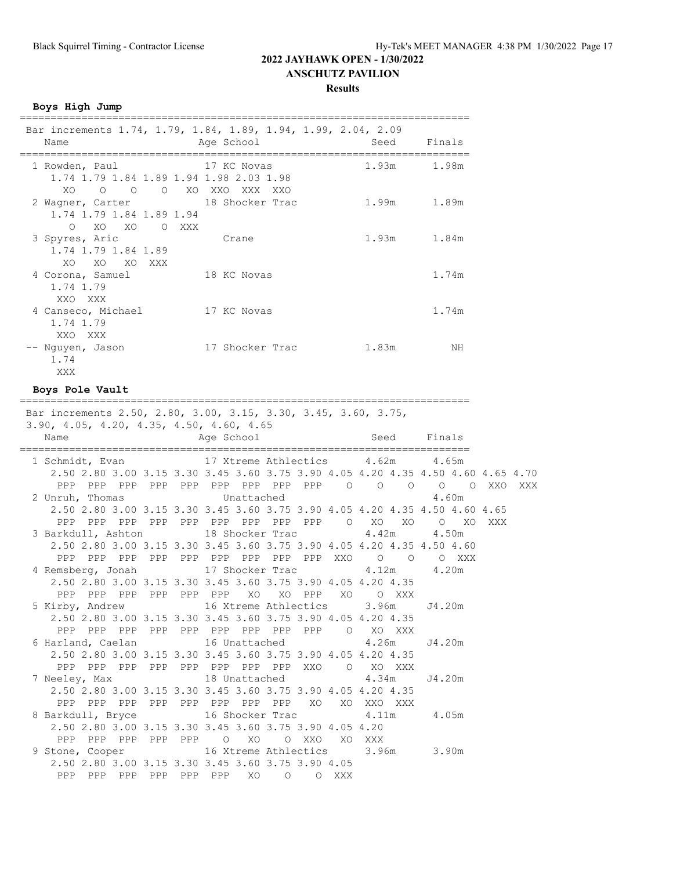**Results**

**Boys High Jump**

| Bar increments 1.74, 1.79, 1.84, 1.89, 1.94, 1.99, 2.04, 2.09<br>Name                                | Age School                                                                                                                                                                   | Seed        | Finals      |     |
|------------------------------------------------------------------------------------------------------|------------------------------------------------------------------------------------------------------------------------------------------------------------------------------|-------------|-------------|-----|
| 1 Rowden, Paul 17 KC Novas<br>1.74 1.79 1.84 1.89 1.94 1.98 2.03 1.98<br>0 0 0 XO XXO XXX XXO<br>XO. |                                                                                                                                                                              | 1.93m       | 1.98m       |     |
| 2 Wagner, Carter 18 Shocker Trac 1.99m<br>1.74 1.79 1.84 1.89 1.94<br>XO XO O XXX<br>$\circ$         |                                                                                                                                                                              |             | 1.89m       |     |
| 3 Spyres, Aric<br>1.74 1.79 1.84 1.89<br>XO<br>XO<br>XO XXX                                          | Crane                                                                                                                                                                        | 1.93m 1.84m |             |     |
| 4 Corona, Samuel 18 KC Novas<br>1.74 1.79<br>XXO XXX                                                 |                                                                                                                                                                              |             | 1.74m       |     |
| 4 Canseco, Michael 17 KC Novas<br>1.74 1.79<br>XXO XXX                                               |                                                                                                                                                                              |             | 1.74m       |     |
| -- Nguyen, Jason 17 Shocker Trac 1.83m<br>1.74<br>XXX                                                |                                                                                                                                                                              |             | NH          |     |
| Boys Pole Vault                                                                                      |                                                                                                                                                                              |             |             |     |
| Bar increments 2.50, 2.80, 3.00, 3.15, 3.30, 3.45, 3.60, 3.75,                                       |                                                                                                                                                                              |             |             |     |
| 3.90, 4.05, 4.20, 4.35, 4.50, 4.60, 4.65<br>Name                                                     | Age School                                                                                                                                                                   |             | Seed Finals |     |
| 1 Schmidt, Evan                                                                                      | 17 Xtreme Athlectics 4.62m 4.65m<br>2.50 2.80 3.00 3.15 3.30 3.45 3.60 3.75 3.90 4.05 4.20 4.35 4.50 4.60 4.65 4.70<br>PPP PPP PPP PPP PPP PPP PPP PPP PPP 0 0 0 0 0 XXO XXX |             |             |     |
| 2 Unruh, Thomas                                                                                      | Unattached<br>2.50 2.80 3.00 3.15 3.30 3.45 3.60 3.75 3.90 4.05 4.20 4.35 4.50 4.60 4.65<br>PPP PPP PPP PPP PPP PPP PPP PPP PPP O XO XO O XO                                 |             | 4.60m       | XXX |
| 3 Barkdull, Ashton 18 Shocker Trac                                                                   | 2.50 2.80 3.00 3.15 3.30 3.45 3.60 3.75 3.90 4.05 4.20 4.35 4.50 4.60                                                                                                        | 4.42m 4.50m |             |     |
| 4 Remsberg, Jonah 17 Shocker Trac                                                                    | 2.50 2.80 3.00 3.15 3.30 3.45 3.60 3.75 3.90 4.05 4.20 4.35                                                                                                                  | 4.12m 4.20m |             |     |
| 5 Kirby, Andrew 16 Xtreme Athlectics 3.96m J4.20m                                                    | PPP PPP PPP PPP PPP PPP XO XO PPP XO O XXX<br>2.50 2.80 3.00 3.15 3.30 3.45 3.60 3.75 3.90 4.05 4.20 4.35<br>PPP PPP PPP PPP PPP PPP PPP PPP PPP O XO XXX                    |             |             |     |
| 6 Harland, Caelan 16 Unattached                                                                      | 2.50 2.80 3.00 3.15 3.30 3.45 3.60 3.75 3.90 4.05 4.20 4.35<br>PPP PPP PPP PPP PPP PPP PPP PPP XXO O XO XXX                                                                  | 4.26m       | J4.20m      |     |
| 7 Neeley, Max 18 Unattached                                                                          | 2.50 2.80 3.00 3.15 3.30 3.45 3.60 3.75 3.90 4.05 4.20 4.35                                                                                                                  | 4.34m       | J4.20m      |     |
|                                                                                                      |                                                                                                                                                                              |             |             |     |
| 8 Barkdull, Bryce 16 Shocker Trac                                                                    | 2.50 2.80 3.00 3.15 3.30 3.45 3.60 3.75 3.90 4.05 4.20<br>PPP PPP PPP PPP PPP 0 XO 0 XXO XO XXX                                                                              | 4.11m       | 4.05m       |     |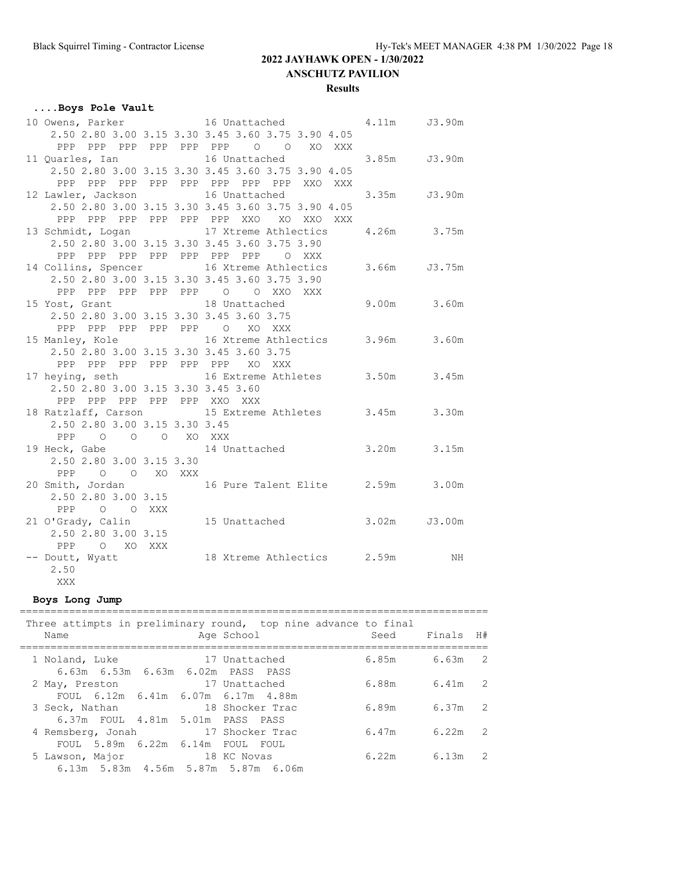# **....Boys Pole Vault**

|                                         | 10 Owens, Parker 16 Unattached                            | 4.11m J3.90m |    |
|-----------------------------------------|-----------------------------------------------------------|--------------|----|
|                                         | 2.50 2.80 3.00 3.15 3.30 3.45 3.60 3.75 3.90 4.05         |              |    |
|                                         | PPP PPP PPP PPP PPP PPP 0 0 XO XXX                        |              |    |
|                                         | 11 Quarles, Ian and 16 Unattached 3.85m 3.90m             |              |    |
|                                         | 2.50 2.80 3.00 3.15 3.30 3.45 3.60 3.75 3.90 4.05         |              |    |
|                                         | PPP PPP PPP PPP PPP PPP PPP PPP XXO XXX                   |              |    |
|                                         | 12 Lawler, Jackson 16 Unattached                          | 3.35m J3.90m |    |
|                                         | 2.50 2.80 3.00 3.15 3.30 3.45 3.60 3.75 3.90 4.05         |              |    |
|                                         | PPP PPP PPP PPP PPP PPP XXO XO XXO XXX                    |              |    |
|                                         | 13 Schmidt, Logan 17 Xtreme Athlectics 4.26m 3.75m        |              |    |
|                                         | 2.50 2.80 3.00 3.15 3.30 3.45 3.60 3.75 3.90              |              |    |
|                                         | PPP PPP PPP PPP PPP PPP PPP O XXX                         |              |    |
|                                         | 14 Collins, Spencer 16 Xtreme Athlectics 3.66m J3.75m     |              |    |
|                                         | 2.50 2.80 3.00 3.15 3.30 3.45 3.60 3.75 3.90              |              |    |
|                                         | PPP PPP PPP PPP PPP 0 0 XXO XXX                           |              |    |
| 15 Yost, Grant 18 Unattached            |                                                           | 9.00m 3.60m  |    |
| 2.50 2.80 3.00 3.15 3.30 3.45 3.60 3.75 |                                                           |              |    |
| PPP PPP PPP PPP PPP 0 XO XXX            |                                                           |              |    |
|                                         | 15 Manley, Kole    16 Xtreme Athlectics    3.96m    3.60m |              |    |
| 2.50 2.80 3.00 3.15 3.30 3.45 3.60 3.75 |                                                           |              |    |
| PPP PPP PPP PPP PPP PPP XO XXX          |                                                           |              |    |
|                                         | 17 heying, seth 16 Extreme Athletes 3.50m 3.45m           |              |    |
| 2.50 2.80 3.00 3.15 3.30 3.45 3.60      |                                                           |              |    |
| PPP PPP PPP PPP PPP XXO XXX             |                                                           |              |    |
|                                         | 18 Ratzlaff, Carson 15 Extreme Athletes 3.45m 3.30m       |              |    |
| 2.50 2.80 3.00 3.15 3.30 3.45           |                                                           |              |    |
| PPP 0 0 0 XO XXX                        |                                                           |              |    |
| 19 Heck, Gabe                           | 14 Unattached 3.20m 3.15m                                 |              |    |
| 2.50 2.80 3.00 3.15 3.30                |                                                           |              |    |
| PPP 0 0 XO XXX                          |                                                           |              |    |
| 20 Smith, Jordan                        | 16 Pure Talent Elite 2.59m 3.00m                          |              |    |
| 2.50 2.80 3.00 3.15                     |                                                           |              |    |
| O O XXX<br>PPP                          |                                                           |              |    |
|                                         | 21 O'Grady, Calin 15 Unattached 3.02m J3.00m              |              |    |
| 2.50 2.80 3.00 3.15                     |                                                           |              |    |
| PPP<br>O XO XXX                         |                                                           |              |    |
| -- Doutt, Wyatt                         | 18 Xtreme Athlectics 2.59m                                |              | NH |
| 2.50                                    |                                                           |              |    |
| XXX                                     |                                                           |              |    |
|                                         |                                                           |              |    |

# **Boys Long Jump**

| Three attimpts in preliminary round, top nine advance to final<br>Name | Age School                                          | Seed          | Finals H# |                |
|------------------------------------------------------------------------|-----------------------------------------------------|---------------|-----------|----------------|
| 1 Noland, Luke 17 Unattached<br>6.63m  6.53m  6.63m  6.02m  PASS  PASS |                                                     | 6.85m 6.63m 2 |           |                |
| 2 May, Preston                                                         | 17 Unattached<br>FOUL 6.12m 6.41m 6.07m 6.17m 4.88m | 6.88m 6.41m   |           | $\overline{2}$ |
| 3 Seck, Nathan 18 Shocker Trac<br>6.37m FOUL 4.81m 5.01m PASS PASS     |                                                     | 6.89m         | 6.37m     | -2             |
| 4 Remsberg, Jonah 17 Shocker Trac<br>FOUL 5.89m 6.22m 6.14m FOUL FOUL  |                                                     | 6.47m 6.22m   |           | $\overline{2}$ |
| 5 Lawson, Major                                                        | 18 KC Novas<br>6.13m 5.83m 4.56m 5.87m 5.87m 6.06m  | 6.22m         | 6.13m     | $\mathcal{L}$  |